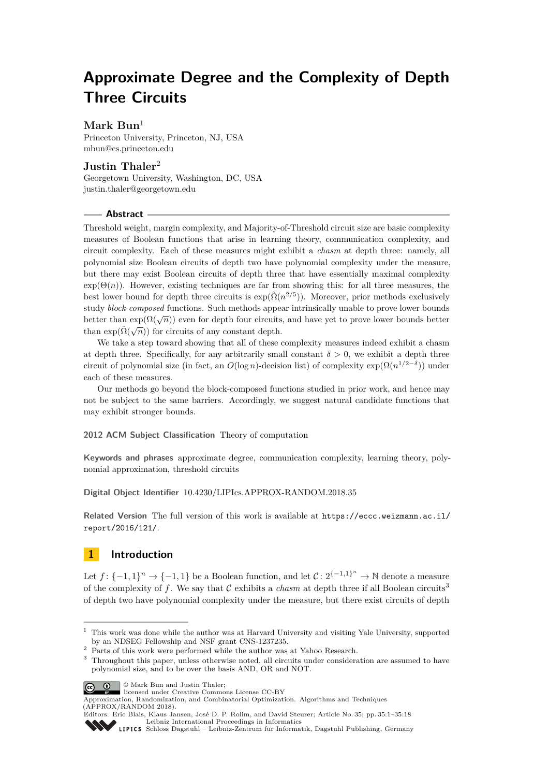# **Approximate Degree and the Complexity of Depth Three Circuits**

# **Mark Bun**<sup>1</sup>

Princeton University, Princeton, NJ, USA [mbun@cs.princeton.edu](mailto:mbun@cs.princeton.edu)

# **Justin Thaler**<sup>2</sup>

Georgetown University, Washington, DC, USA [justin.thaler@georgetown.edu](mailto:justin.thaler@georgetown.edu)

### **Abstract**

Threshold weight, margin complexity, and Majority-of-Threshold circuit size are basic complexity measures of Boolean functions that arise in learning theory, communication complexity, and circuit complexity. Each of these measures might exhibit a *chasm* at depth three: namely, all polynomial size Boolean circuits of depth two have polynomial complexity under the measure, but there may exist Boolean circuits of depth three that have essentially maximal complexity  $\exp(\Theta(n))$ . However, existing techniques are far from showing this: for all three measures, the best lower bound for depth three circuits is  $\exp(\tilde{\Omega}(n^{2/5}))$ . Moreover, prior methods exclusively study *block-composed* functions. Such methods appear intrinsically unable to prove lower bounds better than  $\exp(\Omega(\sqrt{n}))$  even for depth four circuits, and have yet to prove lower bounds better than  $exp(\tilde{\Omega}(\sqrt{n}))$  for circuits of any constant depth.

We take a step toward showing that all of these complexity measures indeed exhibit a chasm at depth three. Specifically, for any arbitrarily small constant  $\delta > 0$ , we exhibit a depth three circuit of polynomial size (in fact, an  $O(\log n)$ -decision list) of complexity  $\exp(\Omega(n^{1/2-\delta}))$  under each of these measures.

Our methods go beyond the block-composed functions studied in prior work, and hence may not be subject to the same barriers. Accordingly, we suggest natural candidate functions that may exhibit stronger bounds.

**2012 ACM Subject Classification** Theory of computation

**Keywords and phrases** approximate degree, communication complexity, learning theory, polynomial approximation, threshold circuits

**Digital Object Identifier** [10.4230/LIPIcs.APPROX-RANDOM.2018.35](http://dx.doi.org/10.4230/LIPIcs.APPROX-RANDOM.2018.35)

**Related Version** The full version of this work is available at [https://eccc.weizmann.ac.il/](https://eccc.weizmann.ac.il/report/2016/121/) [report/2016/121/](https://eccc.weizmann.ac.il/report/2016/121/).

# <span id="page-0-1"></span>**1 Introduction**

Let  $f: \{-1,1\}^n \to \{-1,1\}$  be a Boolean function, and let  $C: 2^{\{-1,1\}^n} \to \mathbb{N}$  denote a measure of the complexity of f. We say that  $\mathcal C$  exhibits a *chasm* at depth three if all Boolean circuits<sup>[3](#page-0-0)</sup> of depth two have polynomial complexity under the measure, but there exist circuits of depth

© Mark Bun and Justin Thaler;  $\boxed{6}$  0

 $^{\rm 1}$  This work was done while the author was at Harvard University and visiting Yale University, supported by an NDSEG Fellowship and NSF grant CNS-1237235.

<sup>&</sup>lt;sup>2</sup> Parts of this work were performed while the author was at Yahoo Research.

<span id="page-0-0"></span><sup>&</sup>lt;sup>3</sup> Throughout this paper, unless otherwise noted, all circuits under consideration are assumed to have polynomial size, and to be over the basis AND, OR and NOT.

licensed under Creative Commons License CC-BY

Approximation, Randomization, and Combinatorial Optimization. Algorithms and Techniques (APPROX/RANDOM 2018).

Editors: Eric Blais, Klaus Jansen, José D. P. Rolim, and David Steurer; Article No. 35; pp. 35:1–35[:18](#page-17-0) [Leibniz International Proceedings in Informatics](http://www.dagstuhl.de/lipics/)

[Schloss Dagstuhl – Leibniz-Zentrum für Informatik, Dagstuhl Publishing, Germany](http://www.dagstuhl.de)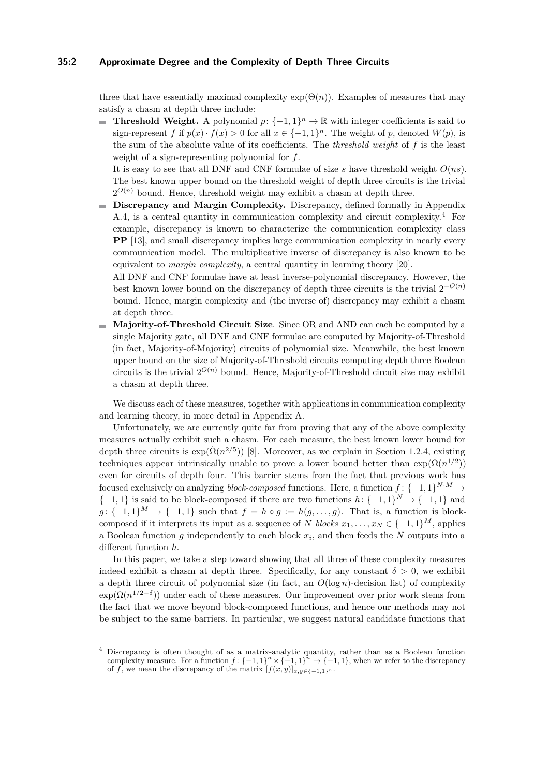#### **35:2 Approximate Degree and the Complexity of Depth Three Circuits**

three that have essentially maximal complexity  $exp(\Theta(n))$ . Examples of measures that may satisfy a chasm at depth three include:

**Threshold Weight.** A polynomial  $p: \{-1, 1\}^n \to \mathbb{R}$  with integer coefficients is said to  $\sim$ sign-represent *f* if  $p(x) \cdot f(x) > 0$  for all  $x \in \{-1, 1\}^n$ . The weight of *p*, denoted  $W(p)$ , is the sum of the absolute value of its coefficients. The *threshold weight* of *f* is the least weight of a sign-representing polynomial for *f*.

It is easy to see that all DNF and CNF formulae of size *s* have threshold weight *O*(*ns*). The best known upper bound on the threshold weight of depth three circuits is the trivial  $2^{O(n)}$  bound. Hence, threshold weight may exhibit a chasm at depth three.

**Discrepancy and Margin Complexity.** Discrepancy, defined formally in Appendix [A.4,](#page-16-0) is a central quantity in communication complexity and circuit complexity.[4](#page-1-0) For example, discrepancy is known to characterize the communication complexity class **PP** [\[13\]](#page-13-0), and small discrepancy implies large communication complexity in nearly every communication model. The multiplicative inverse of discrepancy is also known to be equivalent to *margin complexity*, a central quantity in learning theory [\[20\]](#page-13-1).

All DNF and CNF formulae have at least inverse-polynomial discrepancy. However, the best known lower bound on the discrepancy of depth three circuits is the trivial  $2^{-O(n)}$ bound. Hence, margin complexity and (the inverse of) discrepancy may exhibit a chasm at depth three.

**Majority-of-Threshold Circuit Size**. Since OR and AND can each be computed by a m. single Majority gate, all DNF and CNF formulae are computed by Majority-of-Threshold (in fact, Majority-of-Majority) circuits of polynomial size. Meanwhile, the best known upper bound on the size of Majority-of-Threshold circuits computing depth three Boolean circuits is the trivial  $2^{O(n)}$  bound. Hence, Majority-of-Threshold circuit size may exhibit a chasm at depth three.

We discuss each of these measures, together with applications in communication complexity and learning theory, in more detail in Appendix [A.](#page-14-0)

Unfortunately, we are currently quite far from proving that any of the above complexity measures actually exhibit such a chasm. For each measure, the best known lower bound for depth three circuits is  $\exp(\tilde{\Omega}(n^{2/5}))$  [\[8\]](#page-13-2). Moreover, as we explain in Section [1.2.4,](#page-5-0) existing techniques appear intrinsically unable to prove a lower bound better than  $\exp(\Omega(n^{1/2}))$ even for circuits of depth four. This barrier stems from the fact that previous work has focused exclusively on analyzing *block-composed* functions. Here, a function  $f: \{-1, 1\}^{N \cdot M} \rightarrow$  $\{-1, 1\}$  is said to be block-composed if there are two functions  $h: \{-1, 1\}^N \to \{-1, 1\}$  and  $g: \{-1,1\}^M \rightarrow \{-1,1\}$  such that  $f = h \circ g := h(g, \ldots, g)$ . That is, a function is blockcomposed if it interprets its input as a sequence of *N blocks*  $x_1, \ldots, x_N \in \{-1, 1\}^M$ , applies a Boolean function *g* independently to each block *x<sup>i</sup>* , and then feeds the *N* outputs into a different function *h*.

In this paper, we take a step toward showing that all three of these complexity measures indeed exhibit a chasm at depth three. Specifically, for any constant  $\delta > 0$ , we exhibit a depth three circuit of polynomial size (in fact, an  $O(\log n)$ -decision list) of complexity  $\exp(\Omega(n^{1/2-\delta}))$  under each of these measures. Our improvement over prior work stems from the fact that we move beyond block-composed functions, and hence our methods may not be subject to the same barriers. In particular, we suggest natural candidate functions that

<span id="page-1-0"></span><sup>4</sup> Discrepancy is often thought of as a matrix-analytic quantity, rather than as a Boolean function complexity measure. For a function  $f: \{-1,1\}^n \times \{-1,1\}^n \to \{-1,1\}$ , when we refer to the discrepancy of *f*, we mean the discrepancy of the matrix  $[f(x,y)]_{x,y\in\{-1,1\}^n}$ .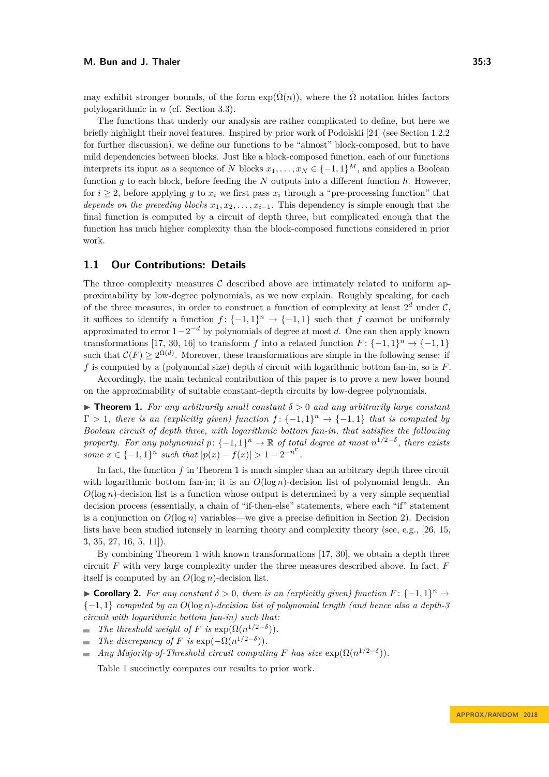may exhibit stronger bounds, of the form  $\exp(\tilde{\Omega}(n))$ , where the  $\tilde{\Omega}$  notation hides factors polylogarithmic in *n* (cf. Section [3.3\)](#page-9-0).

The functions that underly our analysis are rather complicated to define, but here we briefly highlight their novel features. Inspired by prior work of Podolskii [\[24\]](#page-14-1) (see Section [1.2.2](#page-4-0) for further discussion), we define our functions to be "almost" block-composed, but to have mild dependencies between blocks. Just like a block-composed function, each of our functions interprets its input as a sequence of *N* blocks  $x_1, \ldots, x_N \in \{-1, 1\}^M$ , and applies a Boolean function  $q$  to each block, before feeding the  $N$  outputs into a different function  $h$ . However, for  $i \geq 2$ , before applying g to  $x_i$  we first pass  $x_i$  through a "pre-processing function" that *depends on the preceding blocks*  $x_1, x_2, \ldots, x_{i-1}$ . This dependency is simple enough that the final function is computed by a circuit of depth three, but complicated enough that the function has much higher complexity than the block-composed functions considered in prior work.

# **1.1 Our Contributions: Details**

The three complexity measures  $\mathcal C$  described above are intimately related to uniform approximability by low-degree polynomials, as we now explain. Roughly speaking, for each of the three measures, in order to construct a function of complexity at least  $2^d$  under  $\mathcal{C}$ , it suffices to identify a function  $f: \{-1,1\}^n \to \{-1,1\}$  such that  $f$  cannot be uniformly approximated to error 1−2 <sup>−</sup>*<sup>d</sup>* by polynomials of degree at most *d*. One can then apply known transformations [\[17,](#page-13-3) [30,](#page-14-2) [16\]](#page-13-4) to transform *f* into a related function  $F: \{-1, 1\}^n \to \{-1, 1\}$ such that  $\mathcal{C}(F) \geq 2^{\Omega(d)}$ . Moreover, these transformations are simple in the following sense: if *f* is computed by a (polynomial size) depth *d* circuit with logarithmic bottom fan-in, so is *F*.

Accordingly, the main technical contribution of this paper is to prove a new lower bound on the approximability of suitable constant-depth circuits by low-degree polynomials.

<span id="page-2-0"></span> $\triangleright$  **Theorem 1.** For any arbitrarily small constant  $\delta > 0$  and any arbitrarily large constant  $\Gamma > 1$ , there is an (explicitly given) function  $f: \{-1,1\}^n \to \{-1,1\}$  that is computed by *Boolean circuit of depth three, with logarithmic bottom fan-in, that satisfies the following property. For any polynomial*  $p: \{-1, 1\}^n \to \mathbb{R}$  *of total degree at most*  $n^{1/2-\delta}$ , *there exists some*  $x \in \{-1, 1\}^n$  *such that*  $|p(x) - f(x)| > 1 - 2^{-n^{\Gamma}}$ .

In fact, the function f in Theorem [1](#page-2-0) is much simpler than an arbitrary depth three circuit with logarithmic bottom fan-in; it is an  $O(\log n)$ -decision list of polynomial length. An  $O(\log n)$ -decision list is a function whose output is determined by a very simple sequential decision process (essentially, a chain of "if-then-else" statements, where each "if" statement is a conjunction on  $O(\log n)$  variables—we give a precise definition in Section [2\)](#page-6-0). Decision lists have been studied intensely in learning theory and complexity theory (see, e.g., [\[26,](#page-14-3) [15,](#page-13-5) [3,](#page-12-0) [35,](#page-14-4) [27,](#page-14-5) [16,](#page-13-4) [5,](#page-12-1) [11\]](#page-13-6)).

By combining Theorem [1](#page-2-0) with known transformations [\[17,](#page-13-3) [30\]](#page-14-2), we obtain a depth three circuit *F* with very large complexity under the three measures described above. In fact, *F* itself is computed by an *O*(log *n*)-decision list.

<span id="page-2-1"></span>**► Corollary 2.** For any constant  $\delta > 0$ , there is an (explicitly given) function  $F: \{-1,1\}^n \to$ {−1*,* 1} *computed by an O*(log *n*)*-decision list of polynomial length (and hence also a depth-3 circuit with logarithmic bottom fan-in) such that:*

- *The threshold weight of F is* exp $(\Omega(n^{1/2-\delta}))$ *.*  $\blacksquare$
- *The discrepancy of F is* exp $(-\Omega(n^{1/2-\delta}))$ *.*
- *Any Majority-of-Threshold circuit computing*  $F$  *has size*  $\exp(\Omega(n^{1/2-\delta}))$ *.*  $\sim$

Table [1](#page-3-0) succinctly compares our results to prior work.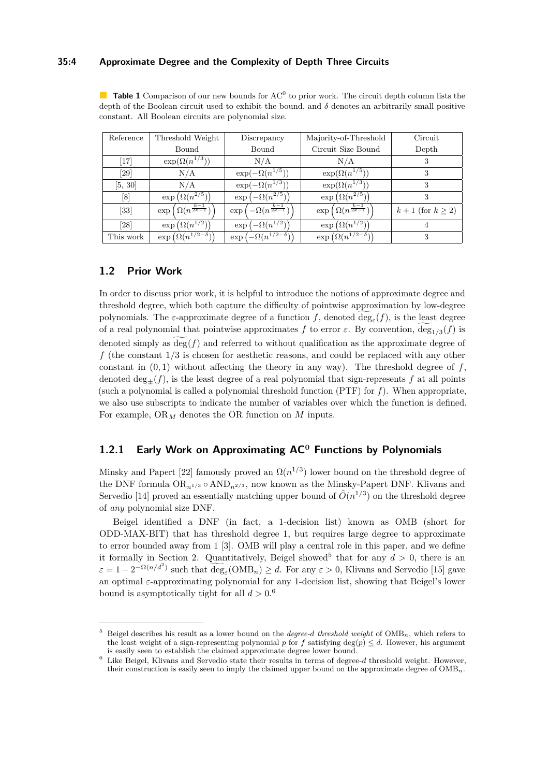#### **35:4 Approximate Degree and the Complexity of Depth Three Circuits**

<span id="page-3-0"></span>**Table 1** Comparison of our new bounds for  $AC^0$  to prior work. The circuit depth column lists the depth of the Boolean circuit used to exhibit the bound, and *δ* denotes an arbitrarily small positive constant. All Boolean circuits are polynomial size.

| Reference | Threshold Weight                                | Discrepancy                                        | Majority-of-Threshold                           | Circuit                 |
|-----------|-------------------------------------------------|----------------------------------------------------|-------------------------------------------------|-------------------------|
|           | Bound                                           | Bound                                              | Circuit Size Bound                              | Depth                   |
| $[17]$    | $\exp(\Omega(n^{1/3}))$                         | N/A                                                | N/A                                             | З                       |
| [29]      | N/A                                             | $\exp(-\Omega(n^{1/5}))$                           | $\exp(\Omega(n^{1/5}))$                         | 3                       |
| [5, 30]   | N/A                                             | $\exp(-\Omega(n^{1/3}))$                           | $\exp(\Omega(n^{1/3}))$                         | 3                       |
| [8]       | $\exp\left(\Omega(n^{2/5})\right)$              | $\exp(-\Omega(n^{2/5}))$                           | $\exp\left(\Omega(n^{2/5})\right)$              | 3                       |
| [33]      | $\exp\left(\Omega(n^{\frac{k-1}{2k-1}})\right)$ | $\exp\left(-\Omega(n^{\frac{k-1}{2k-1}})\right)$ . | $\exp\left(\Omega(n^{\frac{k-1}{2k-1}})\right)$ | $k+1$ (for $k \geq 2$ ) |
| [28]      | $\exp\left(\Omega(n^{1/2})\right)$              | $\exp\left(-\Omega(n^{1/2})\right)$                | $\exp\left(\Omega(n^{1/2})\right)$              |                         |
| This work | $\exp\left(\Omega(n^{1/2-\delta})\right)$       | $\exp\left(-\Omega(n^{1/2-\delta})\right)$         | $\exp\left(\Omega(n^{1/2-\delta})\right)$       |                         |

# **1.2 Prior Work**

In order to discuss prior work, it is helpful to introduce the notions of approximate degree and threshold degree, which both capture the difficulty of pointwise approximation by low-degree polynomials. The *ε*-approximate degree of a function *f*, denoted  $\deg_{\varepsilon}(f)$ , is the least degree of a real polynomial that pointwise approximates *f* to error  $\varepsilon$ . By convention,  $deg_{1/3}(f)$  is denoted simply as  $\deg(f)$  and referred to without qualification as the approximate degree of *f* (the constant 1*/*3 is chosen for aesthetic reasons, and could be replaced with any other constant in  $(0,1)$  without affecting the theory in any way). The threshold degree of  $f$ , denoted  $\deg_{+}(f)$ , is the least degree of a real polynomial that sign-represents f at all points (such a polynomial is called a polynomial threshold function (PTF) for *f*). When appropriate, we also use subscripts to indicate the number of variables over which the function is defined. For example, OR*<sup>M</sup>* denotes the OR function on *M* inputs.

# **1.2.1 Early Work on Approximating AC<sup>0</sup> Functions by Polynomials**

Minsky and Papert [\[22\]](#page-14-9) famously proved an  $\Omega(n^{1/3})$  lower bound on the threshold degree of the DNF formula  $OR_{n1/3} \circ AND_{n2/3}$ , now known as the Minsky-Papert DNF. Klivans and Servedio [\[14\]](#page-13-7) proved an essentially matching upper bound of  $\tilde{O}(n^{1/3})$  on the threshold degree of *any* polynomial size DNF.

Beigel identified a DNF (in fact, a 1-decision list) known as OMB (short for ODD-MAX-BIT) that has threshold degree 1, but requires large degree to approximate to error bounded away from 1 [\[3\]](#page-12-0). OMB will play a central role in this paper, and we define it formally in Section [2.](#page-6-0) Quantitatively, Beigel showed<sup>[5](#page-3-1)</sup> that for any  $d > 0$ , there is an  $\varepsilon = 1 - 2^{-\Omega(n/d^2)}$  such that  $\widetilde{\deg}_{\varepsilon}(\text{OMB}_n) \geq d$ . For any  $\varepsilon > 0$ , Klivans and Servedio [\[15\]](#page-13-5) gave an optimal *ε*-approximating polynomial for any 1-decision list, showing that Beigel's lower bound is asymptotically tight for all  $d > 0.6$  $d > 0.6$ 

<span id="page-3-1"></span><sup>5</sup> Beigel describes his result as a lower bound on the *degree-d threshold weight* of OMB*n*, which refers to the least weight of a sign-representing polynomial *p* for *f* satisfying  $deg(p) \leq d$ . However, his argument is easily seen to establish the claimed approximate degree lower bound.

<span id="page-3-2"></span><sup>6</sup> Like Beigel, Klivans and Servedio state their results in terms of degree-*d* threshold weight. However, their construction is easily seen to imply the claimed upper bound on the approximate degree of OMB*n*.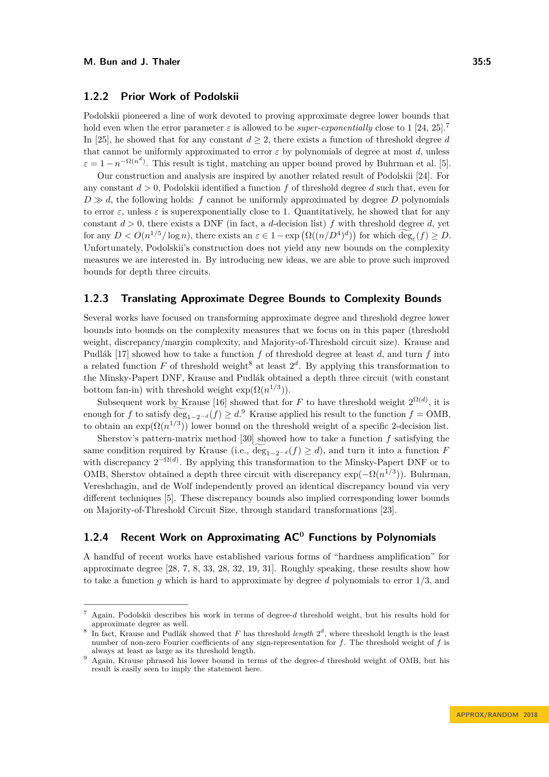### <span id="page-4-0"></span>**1.2.2 Prior Work of Podolskii**

Podolskii pioneered a line of work devoted to proving approximate degree lower bounds that hold even when the error parameter  $\varepsilon$  is allowed to be *super-exponentially* close to 1 [\[24,](#page-14-1) [25\]](#page-14-10).<sup>[7](#page-4-1)</sup> In [\[25\]](#page-14-10), he showed that for any constant  $d \geq 2$ , there exists a function of threshold degree *d* that cannot be uniformly approximated to error  $\varepsilon$  by polynomials of degree at most *d*, unless  $\varepsilon = 1 - n^{-\Omega(n^d)}$ . This result is tight, matching an upper bound proved by Buhrman et al. [\[5\]](#page-12-1).

Our construction and analysis are inspired by another related result of Podolskii [\[24\]](#page-14-1). For any constant *d >* 0, Podolskii identified a function *f* of threshold degree *d* such that, even for  $D \gg d$ , the following holds: *f* cannot be uniformly approximated by degree *D* polynomials to error  $\varepsilon$ , unless  $\varepsilon$  is superexponentially close to 1. Quantitatively, he showed that for any constant  $d > 0$ , there exists a DNF (in fact, a *d*-decision list) f with threshold degree d, yet for any  $D < O(n^{1/5}/\log n)$ , there exists an  $\varepsilon \in 1 - \exp(\Omega((n/D^4)^d))$  for which  $\deg_{\varepsilon}(f) \geq D$ . Unfortunately, Podolskii's construction does not yield any new bounds on the complexity measures we are interested in. By introducing new ideas, we are able to prove such improved bounds for depth three circuits.

# **1.2.3 Translating Approximate Degree Bounds to Complexity Bounds**

Several works have focused on transforming approximate degree and threshold degree lower bounds into bounds on the complexity measures that we focus on in this paper (threshold weight, discrepancy/margin complexity, and Majority-of-Threshold circuit size). Krause and Pudlák [\[17\]](#page-13-3) showed how to take a function *f* of threshold degree at least *d*, and turn *f* into a related function  $F$  of threshold weight<sup>[8](#page-4-2)</sup> at least  $2<sup>d</sup>$ . By applying this transformation to the Minsky-Papert DNF, Krause and Pudlák obtained a depth three circuit (with constant bottom fan-in) with threshold weight  $\exp(\Omega(n^{1/3}))$ .

Subsequent work by Krause [\[16\]](#page-13-4) showed that for *F* to have threshold weight  $2^{\Omega(d)}$ , it is enough for *f* to satisfy  $\deg_{1-2^{-d}}(f) \geq d$ .<sup>[9](#page-4-3)</sup> Krause applied his result to the function  $f = OMB$ , to obtain an  $\exp(\Omega(n^{1/3}))$  lower bound on the threshold weight of a specific 2-decision list.

Sherstov's pattern-matrix method [\[30\]](#page-14-2) showed how to take a function *f* satisfying the same condition required by Krause (i.e.,  $\widetilde{\deg}_{1-2^{-d}}(f) \geq d$ ), and turn it into a function *F* with discrepancy  $2^{-\Omega(d)}$ . By applying this transformation to the Minsky-Papert DNF or to OMB, Sherstov obtained a depth three circuit with discrepancy  $\exp(-\Omega(n^{1/3}))$ . Buhrman, Vereshchagin, and de Wolf independently proved an identical discrepancy bound via very different techniques [\[5\]](#page-12-1). These discrepancy bounds also implied corresponding lower bounds on Majority-of-Threshold Circuit Size, through standard transformations [\[23\]](#page-14-11).

# **1.2.4 Recent Work on Approximating AC<sup>0</sup> Functions by Polynomials**

A handful of recent works have established various forms of "hardness amplification" for approximate degree [\[28,](#page-14-8) [7,](#page-13-8) [8,](#page-13-2) [33,](#page-14-7) [28,](#page-14-8) [32,](#page-14-12) [19,](#page-13-9) [31\]](#page-14-13). Roughly speaking, these results show how to take a function *g* which is hard to approximate by degree *d* polynomials to error 1*/*3, and

<span id="page-4-1"></span><sup>7</sup> Again, Podolskii describes his work in terms of degree-*d* threshold weight, but his results hold for approximate degree as well.

<span id="page-4-2"></span><sup>8</sup> In fact, Krause and Pudlák showed that  $F$  has threshold *length*  $2^d$ , where threshold length is the least number of non-zero Fourier coefficients of any sign-representation for *f*. The threshold weight of *f* is always at least as large as its threshold length.

<span id="page-4-3"></span><sup>9</sup> Again, Krause phrased his lower bound in terms of the degree-*d* threshold weight of OMB, but his result is easily seen to imply the statement here.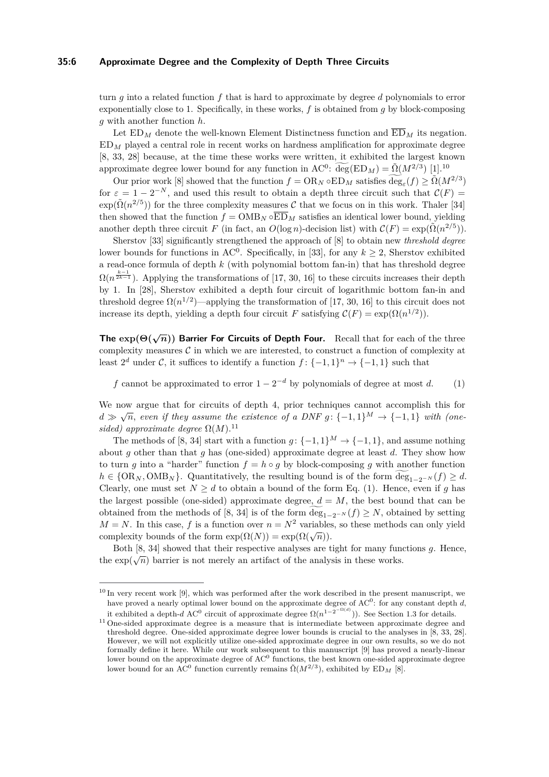#### **35:6 Approximate Degree and the Complexity of Depth Three Circuits**

turn *g* into a related function *f* that is hard to approximate by degree *d* polynomials to error exponentially close to 1. Specifically, in these works, *f* is obtained from *g* by block-composing *g* with another function *h*.

Let  $ED_M$  denote the well-known Element Distinctness function and  $\overline{ED}_M$  its negation. ED*<sup>M</sup>* played a central role in recent works on hardness amplification for approximate degree [\[8,](#page-13-2) [33,](#page-14-7) [28\]](#page-14-8) because, at the time these works were written, it exhibited the largest known approximate degree lower bound for any function in  $AC^0$ :  $\widetilde{\deg}(ED_M) = \widetilde{\Omega}(M^{2/3})$  [\[1\]](#page-12-2).<sup>[10](#page-5-1)</sup>

Our prior work [\[8\]](#page-13-2) showed that the function  $f = \text{OR}_N \circ \text{ED}_M$  satisfies  $\widetilde{\text{deg}}_{\varepsilon}(f) \geq \widetilde{\Omega}(M^{2/3})$ for  $\varepsilon = 1 - 2^{-N}$ , and used this result to obtain a depth three circuit such that  $\mathcal{C}(F) =$  $\exp(\tilde{\Omega}(n^{2/5}))$  for the three complexity measures C that we focus on in this work. Thaler [\[34\]](#page-14-14) then showed that the function  $f = \text{OMB}_N \circ \overline{\text{ED}}_M$  satisfies an identical lower bound, yielding another depth three circuit *F* (in fact, an  $O(\log n)$ -decision list) with  $C(F) = \exp(\tilde{\Omega}(n^{2/5}))$ .

Sherstov [\[33\]](#page-14-7) significantly strengthened the approach of [\[8\]](#page-13-2) to obtain new *threshold degree* lower bounds for functions in  $AC^0$ . Specifically, in [\[33\]](#page-14-7), for any  $k \geq 2$ , Sherstov exhibited a read-once formula of depth *k* (with polynomial bottom fan-in) that has threshold degree  $\Omega(n^{\frac{k-1}{2k-1}})$ . Applying the transformations of [\[17,](#page-13-3) [30,](#page-14-2) [16\]](#page-13-4) to these circuits increases their depth by 1. In [\[28\]](#page-14-8), Sherstov exhibited a depth four circuit of logarithmic bottom fan-in and threshold degree  $\Omega(n^{1/2})$ —applying the transformation of [\[17,](#page-13-3) [30,](#page-14-2) [16\]](#page-13-4) to this circuit does not increase its depth, yielding a depth four circuit *F* satisfying  $\mathcal{C}(F) = \exp(\Omega(n^{1/2}))$ .

<span id="page-5-0"></span>**The**  $\exp(\Theta(\sqrt{n}))$  **Barrier For Circuits of Depth Four.** Recall that for each of the three complexity measures  $C$  in which we are interested, to construct a function of complexity at least  $2^d$  under C, it suffices to identify a function  $f: \{-1,1\}^n \to \{-1,1\}$  such that

<span id="page-5-3"></span>*f* cannot be approximated to error  $1 - 2^{-d}$  by polynomials of degree at most *d*. (1)

We now argue that for circuits of depth 4, prior techniques cannot accomplish this for *d*  $\gg \sqrt{n}$ , *even if they assume the existence of a DNF g* : {-1*,* 1}<sup>*M*</sup>  $\rightarrow$  {-1*,* 1} *with (onesided)* approximate degree  $\Omega(M)$ .<sup>[11](#page-5-2)</sup>

The methods of [\[8,](#page-13-2) [34\]](#page-14-14) start with a function  $g: \{-1, 1\}^M \to \{-1, 1\}$ , and assume nothing about *g* other than that *g* has (one-sided) approximate degree at least *d*. They show how to turn *g* into a "harder" function  $f = h \circ g$  by block-composing *g* with another function  $h \in \{OR_N, OMB_N\}$ . Quantitatively, the resulting bound is of the form  $\deg_{1-2^{-N}}(f) \geq d$ . Clearly, one must set  $N \geq d$  to obtain a bound of the form Eq. [\(1\)](#page-5-3). Hence, even if g has the largest possible (one-sided) approximate degree,  $d = M$ , the best bound that can be obtained from the methods of [\[8,](#page-13-2) [34\]](#page-14-14) is of the form  $\deg_{1-2^{-N}}(f) \geq N$ , obtained by setting  $M = N$ . In this case, f is a function over  $n = N^2$  variables, so these methods can only yield complexity bounds of the form  $\exp(\Omega(N)) = \exp(\Omega(\sqrt{n}))$ .

Both [\[8,](#page-13-2) [34\]](#page-14-14) showed that their respective analyses are tight for many functions *g*. Hence, the exp( $\sqrt{n}$ ) barrier is not merely an artifact of the analysis in these works.

<span id="page-5-1"></span> $10 \text{ In } V$  in very recent work [\[9\]](#page-13-10), which was performed after the work described in the present manuscript, we have proved a nearly optimal lower bound on the approximate degree of AC<sup>0</sup>: for any constant depth *d*, it exhibited a depth-*d* AC<sup>0</sup> circuit of approximate degree  $\Omega(n^{1-2^{-\Omega(d)}})$ ). See Section [1.3](#page-6-1) for details.

<span id="page-5-2"></span><sup>&</sup>lt;sup>11</sup> One-sided approximate degree is a measure that is intermediate between approximate degree and threshold degree. One-sided approximate degree lower bounds is crucial to the analyses in [\[8,](#page-13-2) [33,](#page-14-7) [28\]](#page-14-8). However, we will not explicitly utilize one-sided approximate degree in our own results, so we do not formally define it here. While our work subsequent to this manuscript [\[9\]](#page-13-10) has proved a nearly-linear lower bound on the approximate degree of  $AC<sup>0</sup>$  functions, the best known one-sided approximate degree lower bound for an AC<sup>0</sup> function currently remains  $\tilde{\Omega}(M^{2/3})$ , exhibited by ED<sub>M</sub> [\[8\]](#page-13-2).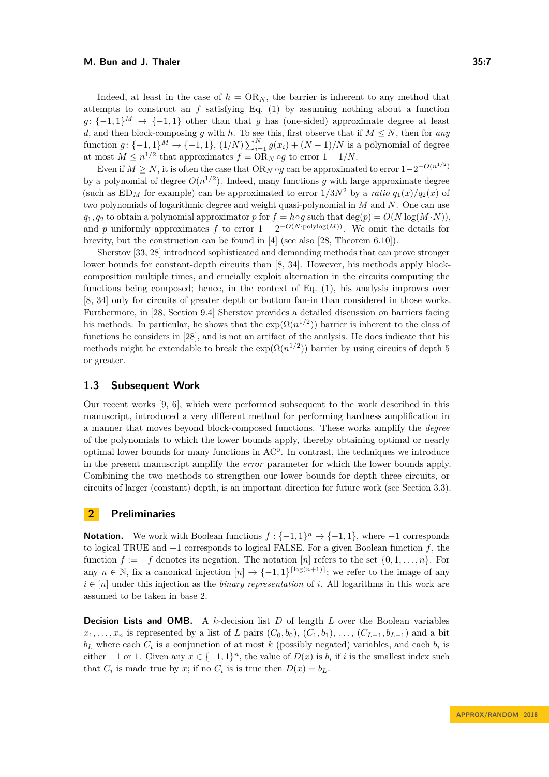Indeed, at least in the case of  $h = \text{OR}_N$ , the barrier is inherent to any method that attempts to construct an *f* satisfying Eq. [\(1\)](#page-5-3) by assuming nothing about a function  $g: \{-1,1\}^M \rightarrow \{-1,1\}$  other than that *g* has (one-sided) approximate degree at least *d*, and then block-composing *g* with *h*. To see this, first observe that if  $M \leq N$ , then for *any* function  $g: \{-1, 1\}^M \to \{-1, 1\}$ ,  $(1/N) \sum_{i=1}^N g(x_i) + (N-1)/N$  is a polynomial of degree at most  $M \leq n^{1/2}$  that approximates  $f = \text{OR}_N \circ g$  to error  $1 - 1/N$ .

Even if  $M \geq N$ , it is often the case that  $OR_N \circ g$  can be approximated to error  $1-2^{-\tilde{O}(n^{1/2})}$ by a polynomial of degree  $O(n^{1/2})$ . Indeed, many functions g with large approximate degree (such as  $ED_M$  for example) can be approximated to error  $1/3N^2$  by a *ratio*  $q_1(x)/q_2(x)$  of two polynomials of logarithmic degree and weight quasi-polynomial in *M* and *N*. One can use  $q_1, q_2$  to obtain a polynomial approximator *p* for  $f = h \circ g$  such that deg(*p*) =  $O(N \log(M \cdot N))$ . and *p* uniformly approximates *f* to error  $1 - 2^{-O(N \cdot \text{polylog}(M))}$ . We omit the details for brevity, but the construction can be found in [\[4\]](#page-12-3) (see also [\[28,](#page-14-8) Theorem 6.10]).

Sherstov [\[33,](#page-14-7) [28\]](#page-14-8) introduced sophisticated and demanding methods that can prove stronger lower bounds for constant-depth circuits than [\[8,](#page-13-2) [34\]](#page-14-14). However, his methods apply blockcomposition multiple times, and crucially exploit alternation in the circuits computing the functions being composed; hence, in the context of Eq. [\(1\)](#page-5-3), his analysis improves over [\[8,](#page-13-2) [34\]](#page-14-14) only for circuits of greater depth or bottom fan-in than considered in those works. Furthermore, in [\[28,](#page-14-8) Section 9.4] Sherstov provides a detailed discussion on barriers facing his methods. In particular, he shows that the  $\exp(\Omega(n^{1/2}))$  barrier is inherent to the class of functions he considers in [\[28\]](#page-14-8), and is not an artifact of the analysis. He does indicate that his methods might be extendable to break the  $\exp(\Omega(n^{1/2}))$  barrier by using circuits of depth 5 or greater.

### <span id="page-6-1"></span>**1.3 Subsequent Work**

Our recent works [\[9,](#page-13-10) [6\]](#page-13-11), which were performed subsequent to the work described in this manuscript, introduced a very different method for performing hardness amplification in a manner that moves beyond block-composed functions. These works amplify the *degree* of the polynomials to which the lower bounds apply, thereby obtaining optimal or nearly optimal lower bounds for many functions in  $AC<sup>0</sup>$ . In contrast, the techniques we introduce in the present manuscript amplify the *error* parameter for which the lower bounds apply. Combining the two methods to strengthen our lower bounds for depth three circuits, or circuits of larger (constant) depth, is an important direction for future work (see Section [3.3\)](#page-9-0).

# <span id="page-6-0"></span>**2 Preliminaries**

**Notation.** We work with Boolean functions  $f: \{-1, 1\}^n \to \{-1, 1\}$ , where  $-1$  corresponds to logical TRUE and +1 corresponds to logical FALSE. For a given Boolean function *f*, the function  $\bar{f} := -f$  denotes its negation. The notation [*n*] refers to the set  $\{0, 1, \ldots, n\}$ . For any  $n \in \mathbb{N}$ , fix a canonical injection  $[n] \to \{-1,1\}^{\lceil \log(n+1) \rceil}$ ; we refer to the image of any  $i \in [n]$  under this injection as the *binary representation* of *i*. All logarithms in this work are assumed to be taken in base 2.

**Decision Lists and OMB.** A *k*-decision list *D* of length *L* over the Boolean variables  $x_1, \ldots, x_n$  is represented by a list of *L* pairs  $(C_0, b_0)$ ,  $(C_1, b_1)$ ,  $\ldots$ ,  $(C_{L-1}, b_{L-1})$  and a bit  $b<sub>L</sub>$  where each  $C<sub>i</sub>$  is a conjunction of at most *k* (possibly negated) variables, and each  $b<sub>i</sub>$  is either  $-1$  or 1. Given any  $x \in \{-1,1\}^n$ , the value of  $D(x)$  is  $b_i$  if *i* is the smallest index such that  $C_i$  is made true by *x*; if no  $C_i$  is is true then  $D(x) = b_L$ .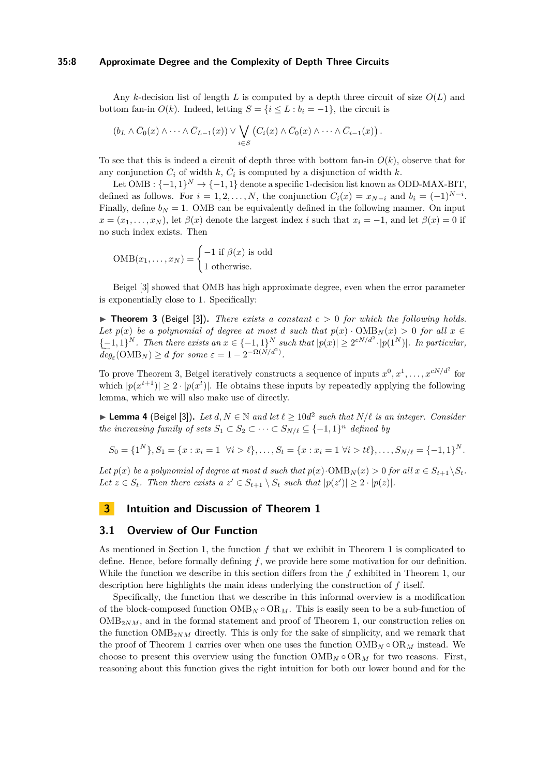#### **35:8 Approximate Degree and the Complexity of Depth Three Circuits**

Any *k*-decision list of length *L* is computed by a depth three circuit of size *O*(*L*) and bottom fan-in  $O(k)$ . Indeed, letting  $S = \{i \le L : b_i = -1\}$ , the circuit is

$$
(b_L \wedge \bar{C}_0(x) \wedge \cdots \wedge \bar{C}_{L-1}(x)) \vee \bigvee_{i \in S} (C_i(x) \wedge \bar{C}_0(x) \wedge \cdots \wedge \bar{C}_{i-1}(x)).
$$

To see that this is indeed a circuit of depth three with bottom fan-in  $O(k)$ , observe that for any conjunction  $C_i$  of width  $k$ ,  $\overline{C}_i$  is computed by a disjunction of width  $k$ .

Let OMB :  $\{-1,1\}^N \rightarrow \{-1,1\}$  denote a specific 1-decision list known as ODD-MAX-BIT, defined as follows. For  $i = 1, 2, \ldots, N$ , the conjunction  $C_i(x) = x_{N-i}$  and  $b_i = (-1)^{N-i}$ . Finally, define  $b_N = 1$ . OMB can be equivalently defined in the following manner. On input  $x = (x_1, \ldots, x_N)$ , let  $\beta(x)$  denote the largest index *i* such that  $x_i = -1$ , and let  $\beta(x) = 0$  if no such index exists. Then

$$
OMB(x_1,...,x_N) = \begin{cases} -1 \text{ if } \beta(x) \text{ is odd} \\ 1 \text{ otherwise.} \end{cases}
$$

Beigel [\[3\]](#page-12-0) showed that OMB has high approximate degree, even when the error parameter is exponentially close to 1. Specifically:

<span id="page-7-0"></span> $\triangleright$  **Theorem 3** (Beigel [\[3\]](#page-12-0)). *There exists a constant*  $c > 0$  *for which the following holds. Let*  $p(x)$  *be a polynomial of degree at most <i>d such that*  $p(x) \cdot \text{OMB}_N(x) > 0$  *for all*  $x \in$ {-1*,* 1}<sup>*N*</sup> *. Then there exists an*  $x \in \{-1, 1\}^N$  *such that*  $|p(x)| \geq 2^{cN/d^2} \cdot |p(1^N)|$ *. In particular,*  $\widetilde{deg}_{\varepsilon}(\text{OMB}_N) \geq d \text{ for some } \varepsilon = 1 - 2^{-\Omega(N/d^2)}.$ 

To prove Theorem [3,](#page-7-0) Beigel iteratively constructs a sequence of inputs  $x^0, x^1, \ldots, x^{cN/d^2}$  for which  $|p(x^{t+1})| \geq 2 \cdot |p(x^t)|$ . He obtains these inputs by repeatedly applying the following lemma, which we will also make use of directly.

<span id="page-7-2"></span>▶ **Lemma 4** (Beigel [\[3\]](#page-12-0)). Let  $d, N \in \mathbb{N}$  and let  $\ell \ge 10d^2$  such that  $N/\ell$  is an integer. Consider *the increasing family of sets*  $S_1 \subset S_2 \subset \cdots \subset S_{N/\ell} \subseteq \{-1,1\}^n$  *defined by* 

$$
S_0 = \{1^N\}, S_1 = \{x : x_i = 1 \ \forall i > \ell\}, \dots, S_t = \{x : x_i = 1 \ \forall i > \ell\}, \dots, S_{N/\ell} = \{-1, 1\}^N.
$$

*Let*  $p(x)$  *be a polynomial of degree at most <i>d such that*  $p(x) \cdot \text{OMB}_N(x) > 0$  *for all*  $x \in S_{t+1} \setminus S_t$ . *Let*  $z \in S_t$ *. Then there exists a*  $z' \in S_{t+1} \setminus S_t$  *such that*  $|p(z')| \geq 2 \cdot |p(z)|$ *.* 

# **3 Intuition and Discussion of Theorem [1](#page-2-0)**

# <span id="page-7-1"></span>**3.1 Overview of Our Function**

As mentioned in Section [1,](#page-0-1) the function *f* that we exhibit in Theorem [1](#page-2-0) is complicated to define. Hence, before formally defining *f*, we provide here some motivation for our definition. While the function we describe in this section differs from the *f* exhibited in Theorem [1,](#page-2-0) our description here highlights the main ideas underlying the construction of *f* itself.

Specifically, the function that we describe in this informal overview is a modification of the block-composed function  $\text{OMB}_N \circ \text{OR}_M$ . This is easily seen to be a sub-function of  $\text{OMB}_{2NM}$ , and in the formal statement and proof of Theorem [1,](#page-2-0) our construction relies on the function  $\text{OMB}_{2NM}$  directly. This is only for the sake of simplicity, and we remark that the proof of Theorem [1](#page-2-0) carries over when one uses the function  $\text{OMB}_N \circ \text{OR}_M$  instead. We choose to present this overview using the function  $\text{OMB}_N \circ \text{OR}_M$  for two reasons. First, reasoning about this function gives the right intuition for both our lower bound and for the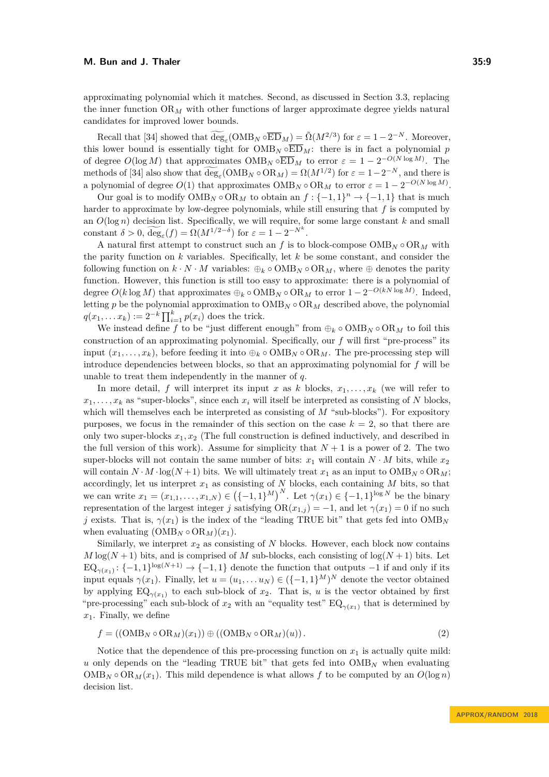approximating polynomial which it matches. Second, as discussed in Section [3.3,](#page-9-0) replacing the inner function  $OR_M$  with other functions of larger approximate degree yields natural candidates for improved lower bounds.

Recall that [\[34\]](#page-14-14) showed that  $\widetilde{\text{deg}}_{\varepsilon}(\text{OMB}_N \circ \overline{\text{ED}}_M) = \widetilde{\Omega}(M^{2/3})$  for  $\varepsilon = 1 - 2^{-N}$ . Moreover, this lower bound is essentially tight for  $\overline{OMB_N} \circ \overline{ED}_M$ : there is in fact a polynomial *p* of degree  $O(\log M)$  that approximates  $\text{OMB}_N \circ \overline{\text{ED}}_M$  to error  $\varepsilon = 1 - 2^{-O(N \log M)}$ . The methods of [\[34\]](#page-14-14) also show that  $\deg_{\varepsilon}(\text{OMB}_N \circ \text{OR}_M) = \Omega(M^{1/2})$  for  $\varepsilon = 1 - 2^{-N}$ , and there is a polynomial of degree  $O(1)$  that approximates  $\text{OMB}_N \circ \text{OR}_M$  to error  $\varepsilon = 1 - 2^{-O(N \log M)}$ .

Our goal is to modify  $\text{OMB}_N \circ \text{OR}_M$  to obtain an  $f: \{-1,1\}^n \to \{-1,1\}$  that is much harder to approximate by low-degree polynomials, while still ensuring that *f* is computed by an  $O(\log n)$  decision list. Specifically, we will require, for some large constant  $k$  and small constant  $\delta > 0$ ,  $\widetilde{\deg}_{\varepsilon}(f) = \Omega(M^{1/2-\delta})$  for  $\varepsilon = 1 - 2^{-N^k}$ .

A natural first attempt to construct such an  $f$  is to block-compose  $\text{OMB}_N \circ \text{OR}_M$  with the parity function on *k* variables. Specifically, let *k* be some constant, and consider the following function on  $k \cdot N \cdot M$  variables:  $\bigoplus_k \circ \text{OMB}_N \circ \text{OR}_M$ , where  $\oplus$  denotes the parity function. However, this function is still too easy to approximate: there is a polynomial of degree  $O(k \log M)$  that approximates  $\bigoplus_k \circ \text{OMB}_N \circ \text{OR}_M$  to error  $1 - 2^{-O(kN \log M)}$ . Indeed, letting *p* be the polynomial approximation to  $\text{OMB}_N \circ \text{OR}_M$  described above, the polynomial  $q(x_1, \ldots, x_k) := 2^{-k} \prod_{i=1}^k p(x_i)$  does the trick.

We instead define *f* to be "just different enough" from  $\oplus_k \circ \text{OMB}_N \circ \text{OR}_M$  to foil this construction of an approximating polynomial. Specifically, our *f* will first "pre-process" its input  $(x_1, \ldots, x_k)$ , before feeding it into  $\bigoplus_k \circ \text{OMB}_N \circ \text{OR}_M$ . The pre-processing step will introduce dependencies between blocks, so that an approximating polynomial for *f* will be unable to treat them independently in the manner of *q*.

In more detail, *f* will interpret its input *x* as *k* blocks,  $x_1, \ldots, x_k$  (we will refer to  $x_1, \ldots, x_k$  as "super-blocks", since each  $x_i$  will itself be interpreted as consisting of *N* blocks. which will themselves each be interpreted as consisting of *M* "sub-blocks"). For expository purposes, we focus in the remainder of this section on the case  $k = 2$ , so that there are only two super-blocks  $x_1, x_2$  (The full construction is defined inductively, and described in the full version of this work). Assume for simplicity that  $N+1$  is a power of 2. The two super-blocks will not contain the same number of bits:  $x_1$  will contain  $N \cdot M$  bits, while  $x_2$ will contain  $N \cdot M \cdot \log(N+1)$  bits. We will ultimately treat  $x_1$  as an input to  $\text{OMB}_N \circ \text{OR}_M$ ; accordingly, let us interpret  $x_1$  as consisting of  $N$  blocks, each containing  $M$  bits, so that we can write  $x_1 = (x_{1,1}, \ldots, x_{1,N}) \in \left(\{-1,1\}^M\right)^N$ . Let  $\gamma(x_1) \in \{-1,1\}^{\log N}$  be the binary representation of the largest integer *j* satisfying  $OR(x_{1,j}) = -1$ , and let  $\gamma(x_1) = 0$  if no such *j* exists. That is,  $\gamma(x_1)$  is the index of the "leading TRUE bit" that gets fed into  $\text{OMB}_N$ when evaluating  $(OMB_N \circ OR_M)(x_1)$ .

Similarly, we interpret  $x_2$  as consisting of  $N$  blocks. However, each block now contains  $M \log(N+1)$  bits, and is comprised of *M* sub-blocks, each consisting of  $\log(N+1)$  bits. Let  $EQ_{\gamma(x_1)}: \{-1,1\}^{\log(N+1)} \to \{-1,1\}$  denote the function that outputs  $-1$  if and only if its input equals  $\gamma(x_1)$ . Finally, let  $u = (u_1, \ldots u_N) \in (\{-1,1\}^M)^N$  denote the vector obtained by applying  $EQ_{\gamma(x_1)}$  to each sub-block of  $x_2$ . That is, *u* is the vector obtained by first "pre-processing" each sub-block of  $x_2$  with an "equality test"  $EQ_{\gamma(x_1)}$  that is determined by *x*1. Finally, we define

<span id="page-8-0"></span>
$$
f = ((\text{OMB}_N \circ \text{OR}_M)(x_1)) \oplus ((\text{OMB}_N \circ \text{OR}_M)(u)).
$$
\n(2)

Notice that the dependence of this pre-processing function on  $x_1$  is actually quite mild: *u* only depends on the "leading TRUE bit" that gets fed into OMB*<sup>N</sup>* when evaluating  $\text{OMB}_N \circ \text{OR}_M(x_1)$ . This mild dependence is what allows f to be computed by an  $O(\log n)$ decision list.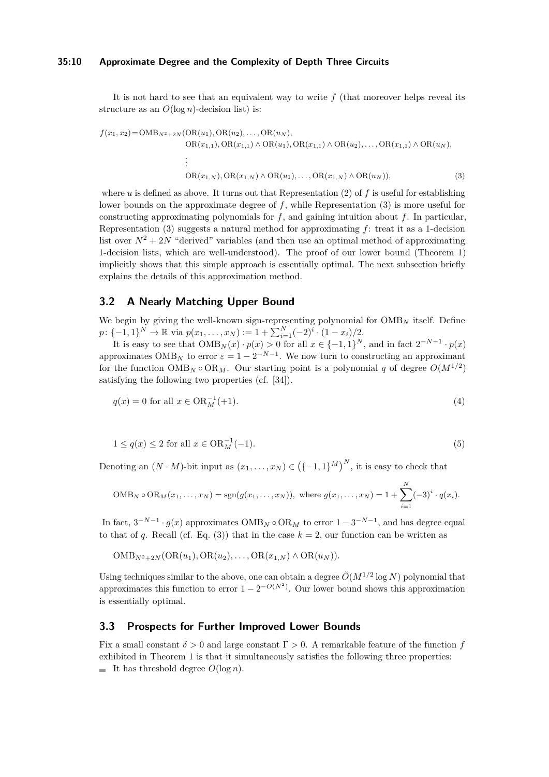#### **35:10 Approximate Degree and the Complexity of Depth Three Circuits**

It is not hard to see that an equivalent way to write *f* (that moreover helps reveal its structure as an  $O(\log n)$ -decision list) is:

<span id="page-9-1"></span>
$$
f(x_1, x_2) = \text{OMB}_{N^2 + 2N}(\text{OR}(u_1), \text{OR}(u_2), \dots, \text{OR}(u_N),
$$
  
\n
$$
\text{OR}(x_{1,1}), \text{OR}(x_{1,1}) \land \text{OR}(u_1), \text{OR}(x_{1,1}) \land \text{OR}(u_2), \dots, \text{OR}(x_{1,1}) \land \text{OR}(u_N),
$$
  
\n
$$
\vdots
$$
  
\n
$$
\text{OR}(x_{1,N}), \text{OR}(x_{1,N}) \land \text{OR}(u_1), \dots, \text{OR}(x_{1,N}) \land \text{OR}(u_N)),
$$
  
\n(3)

where *u* is defined as above. It turns out that Representation [\(2\)](#page-8-0) of *f* is useful for establishing lower bounds on the approximate degree of *f*, while Representation [\(3\)](#page-9-1) is more useful for constructing approximating polynomials for *f*, and gaining intuition about *f*. In particular, Representation [\(3\)](#page-9-1) suggests a natural method for approximating *f*: treat it as a 1-decision list over  $N^2 + 2N$  "derived" variables (and then use an optimal method of approximating 1-decision lists, which are well-understood). The proof of our lower bound (Theorem [1\)](#page-2-0) implicitly shows that this simple approach is essentially optimal. The next subsection briefly explains the details of this approximation method.

### **3.2 A Nearly Matching Upper Bound**

We begin by giving the well-known sign-representing polynomial for  $\text{OMB}_N$  itself. Define  $p: \{-1, 1\}^N \to \mathbb{R}$  via  $p(x_1, \ldots, x_N) := 1 + \sum_{i=1}^N (-2)^i \cdot (1 - x_i)/2$ .

It is easy to see that  $\text{OMB}_N(x) \cdot p(x) > 0$  for all  $x \in \{-1, 1\}^N$ , and in fact  $2^{-N-1} \cdot p(x)$ approximates  $\text{OMB}_N$  to error  $\varepsilon = 1 - 2^{-N-1}$ . We now turn to constructing an approximant for the function  $\text{OMB}_N \circ \text{OR}_M$ . Our starting point is a polynomial *q* of degree  $O(M^{1/2})$ satisfying the following two properties (cf. [\[34\]](#page-14-14)).

$$
q(x) = 0 \text{ for all } x \in \text{OR}_M^{-1}(+1). \tag{4}
$$

$$
1 \le q(x) \le 2 \text{ for all } x \in \text{OR}_M^{-1}(-1). \tag{5}
$$

Denoting an  $(N \cdot M)$ -bit input as  $(x_1, \ldots, x_N) \in \left(\{-1, 1\}^M\right)^N$ , it is easy to check that

$$
\text{OMB}_N \circ \text{OR}_M(x_1, \dots, x_N) = \text{sgn}(g(x_1, \dots, x_N)), \text{ where } g(x_1, \dots, x_N) = 1 + \sum_{i=1}^N (-3)^i \cdot q(x_i).
$$

In fact,  $3^{-N-1} \cdot g(x)$  approximates  $\text{OMB}_N \circ \text{OR}_M$  to error  $1 - 3^{-N-1}$ , and has degree equal to that of *q*. Recall (cf. Eq. [\(3\)](#page-9-1)) that in the case  $k = 2$ , our function can be written as

 $\text{OMB}_{N^2+2N}(\text{OR}(u_1), \text{OR}(u_2), \ldots, \text{OR}(x_{1,N}) \wedge \text{OR}(u_N)).$ 

Using techniques similar to the above, one can obtain a degree  $\tilde{O}(M^{1/2} \log N)$  polynomial that approximates this function to error  $1 - 2^{-O(N^2)}$ . Our lower bound shows this approximation is essentially optimal.

# <span id="page-9-0"></span>**3.3 Prospects for Further Improved Lower Bounds**

Fix a small constant  $\delta > 0$  and large constant  $\Gamma > 0$ . A remarkable feature of the function *f* exhibited in Theorem [1](#page-2-0) is that it simultaneously satisfies the following three properties: It has threshold degree  $O(\log n)$ .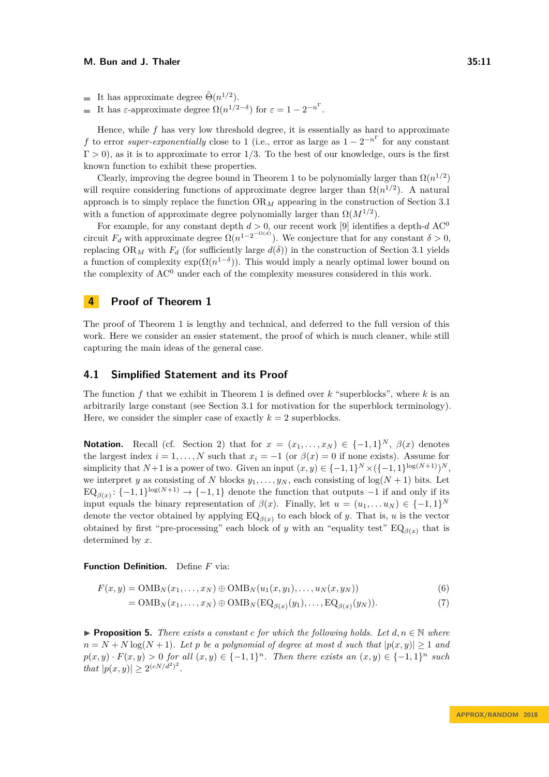It has approximate degree  $\tilde{\Theta}(n^{1/2})$ .

It has  $\varepsilon$ -approximate degree  $\Omega(n^{1/2-\delta})$  for  $\varepsilon = 1 - 2^{-n^{\Gamma}}$ .  $\overline{a}$ 

Hence, while *f* has very low threshold degree, it is essentially as hard to approximate *f* to error *super-exponentially* close to 1 (i.e., error as large as  $1 - 2^{-n^{\Gamma}}$  for any constant Γ *>* 0), as it is to approximate to error 1*/*3. To the best of our knowledge, ours is the first known function to exhibit these properties.

Clearly, improving the degree bound in Theorem [1](#page-2-0) to be polynomially larger than  $\Omega(n^{1/2})$ will require considering functions of approximate degree larger than  $\Omega(n^{1/2})$ . A natural approach is to simply replace the function OR*<sup>M</sup>* appearing in the construction of Section [3.1](#page-7-1) with a function of approximate degree polynomially larger than  $\Omega(M^{1/2})$ .

For example, for any constant depth  $d > 0$ , our recent work [\[9\]](#page-13-10) identifies a depth- $d$  AC<sup>0</sup> circuit  $F_d$  with approximate degree  $\Omega(n^{1-2^{-\Omega(d)}})$ . We conjecture that for any constant  $\delta > 0$ , replacing OR<sub>M</sub> with  $F_d$  (for sufficiently large  $d(\delta)$ ) in the construction of Section [3.1](#page-7-1) yields a function of complexity  $\exp(\Omega(n^{1-\delta}))$ . This would imply a nearly optimal lower bound on the complexity of  $AC<sup>0</sup>$  under each of the complexity measures considered in this work.

# **4 Proof of Theorem [1](#page-2-0)**

The proof of Theorem [1](#page-2-0) is lengthy and technical, and deferred to the full version of this work. Here we consider an easier statement, the proof of which is much cleaner, while still capturing the main ideas of the general case.

#### **4.1 Simplified Statement and its Proof**

The function *f* that we exhibit in Theorem [1](#page-2-0) is defined over *k* "superblocks", where *k* is an arbitrarily large constant (see Section [3.1](#page-7-1) for motivation for the superblock terminology). Here, we consider the simpler case of exactly  $k = 2$  superblocks.

**Notation.** Recall (cf. Section [2\)](#page-6-0) that for  $x = (x_1, \ldots, x_N) \in \{-1, 1\}^N$ ,  $\beta(x)$  denotes the largest index  $i = 1, ..., N$  such that  $x_i = -1$  (or  $\beta(x) = 0$  if none exists). Assume for simplicity that  $N+1$  is a power of two. Given an input  $(x, y) \in \{-1, 1\}^N \times (\{-1, 1\}^{\log(N+1)})^N$ , we interpret *y* as consisting of *N* blocks  $y_1, \ldots, y_N$ , each consisting of  $\log(N + 1)$  bits. Let  $EQ_{\beta(x)}$ : {-1*,* 1}<sup>log(*N*+1)</sup> → {-1*,* 1} denote the function that outputs -1 if and only if its input equals the binary representation of  $\beta(x)$ . Finally, let  $u = (u_1, \dots, u_N) \in \{-1, 1\}^N$ denote the vector obtained by applying  $EQ_{\beta(x)}$  to each block of *y*. That is, *u* is the vector obtained by first "pre-processing" each block of *y* with an "equality test"  $EQ_{\beta(x)}$  that is determined by *x*.

**Function Definition.** Define *F* via:

$$
F(x,y) = \text{OMB}_N(x_1,\ldots,x_N) \oplus \text{OMB}_N(u_1(x,y_1),\ldots,u_N(x,y_N))
$$
\n
$$
(6)
$$

 $= \text{OMB}_N(x_1, \ldots, x_N) \oplus \text{OMB}_N(\text{EQ}_{\beta(x)}(y_1), \ldots, \text{EQ}_{\beta(x)}(y_N)).$  (7)

<span id="page-10-0"></span>**Proposition 5.** *There exists a constant c for which the following holds. Let*  $d, n \in \mathbb{N}$  *where*  $n = N + N \log(N + 1)$ *. Let p be a polynomial of degree at most <i>d such that*  $|p(x, y)| \geq 1$  *and*  $p(x, y) \cdot F(x, y) > 0$  *for all*  $(x, y) \in \{-1, 1\}^n$ . Then there exists an  $(x, y) \in \{-1, 1\}^n$  such *that*  $|p(x, y)| \ge 2^{(cN/d^2)^2}$ .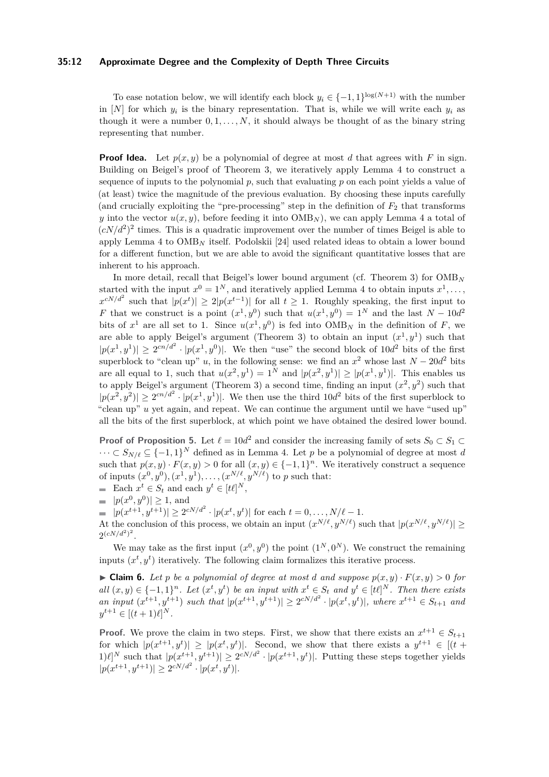#### **35:12 Approximate Degree and the Complexity of Depth Three Circuits**

To ease notation below, we will identify each block  $y_i \in \{-1,1\}^{\log(N+1)}$  with the number in  $[N]$  for which  $y_i$  is the binary representation. That is, while we will write each  $y_i$  as though it were a number  $0, 1, \ldots, N$ , it should always be thought of as the binary string representing that number.

**Proof Idea.** Let  $p(x, y)$  be a polynomial of degree at most *d* that agrees with *F* in sign. Building on Beigel's proof of Theorem [3,](#page-7-0) we iteratively apply Lemma [4](#page-7-2) to construct a sequence of inputs to the polynomial  $p$ , such that evaluating  $p$  on each point yields a value of (at least) twice the magnitude of the previous evaluation. By choosing these inputs carefully (and crucially exploiting the "pre-processing" step in the definition of  $F_2$  that transforms *y* into the vector  $u(x, y)$ , before feeding it into  $\text{OMB}_N$ ), we can apply Lemma [4](#page-7-2) a total of  $(cN/d^2)^2$  times. This is a quadratic improvement over the number of times Beigel is able to apply Lemma [4](#page-7-2) to OMB*<sup>N</sup>* itself. Podolskii [\[24\]](#page-14-1) used related ideas to obtain a lower bound for a different function, but we are able to avoid the significant quantitative losses that are inherent to his approach.

In more detail, recall that Beigel's lower bound argument (cf. Theorem [3\)](#page-7-0) for OMB*<sup>N</sup>* started with the input  $x^0 = 1^N$ , and iteratively applied Lemma [4](#page-7-2) to obtain inputs  $x^1, \ldots,$  $x^{cN/d^2}$  such that  $|p(x^t)| \geq 2|p(x^{t-1})|$  for all  $t \geq 1$ . Roughly speaking, the first input to *F* that we construct is a point  $(x^1, y^0)$  such that  $u(x^1, y^0) = 1^N$  and the last  $N - 10d^2$ bits of  $x^1$  are all set to 1. Since  $u(x^1, y^0)$  is fed into  $\text{OMB}_N$  in the definition of *F*, we are able to apply Beigel's argument (Theorem [3\)](#page-7-0) to obtain an input  $(x^1, y^1)$  such that  $|p(x^1, y^1)| \geq 2^{cn/d^2} \cdot |p(x^1, y^0)|$ . We then "use" the second block of  $10d^2$  bits of the first superblock to "clean up" *u*, in the following sense: we find an  $x^2$  whose last  $N - 20d^2$  bits are all equal to 1, such that  $u(x^2, y^1) = 1^N$  and  $|p(x^2, y^1)| \ge |p(x^1, y^1)|$ . This enables us to apply Beigel's argument (Theorem [3\)](#page-7-0) a second time, finding an input  $(x^2, y^2)$  such that  $|p(x^2, y^2)| \geq 2^{cn/d^2} \cdot |p(x^1, y^1)|$ . We then use the third  $10d^2$  bits of the first superblock to "clean up" *u* yet again, and repeat. We can continue the argument until we have "used up" all the bits of the first superblock, at which point we have obtained the desired lower bound.

**Proof of Proposition [5.](#page-10-0)** Let  $\ell = 10d^2$  and consider the increasing family of sets  $S_0 \subset S_1 \subset$  $\cdots \subset S_{N/\ell} \subseteq \{-1,1\}^N$  defined as in Lemma [4.](#page-7-2) Let p be a polynomial of degree at most *d* such that  $p(x, y) \cdot F(x, y) > 0$  for all  $(x, y) \in \{-1, 1\}^n$ . We iteratively construct a sequence of inputs  $(x^0, y^0), (x^1, y^1), \ldots, (x^{N/\ell}, y^{N/\ell})$  to *p* such that:

- Each  $x^t \in S_t$  and each  $y^t \in [t\ell]^N$ ,
- $|p(x^0, y^0)| \ge 1$ , and

 $|p(x^{t+1}, y^{t+1})| \geq 2^{cN/d^2} \cdot |p(x^t, y^t)|$  for each  $t = 0, \ldots, N/\ell - 1$ .

At the conclusion of this process, we obtain an input  $(x^{N/\ell}, y^{N/\ell})$  such that  $|p(x^{N/\ell}, y^{N/\ell})| \ge$  $2^{(cN/d^2)^2}$ .

We may take as the first input  $(x^0, y^0)$  the point  $(1^N, 0^N)$ . We construct the remaining inputs  $(x^t, y^t)$  iteratively. The following claim formalizes this iterative process.

<span id="page-11-0"></span> $\blacktriangleright$  **Claim 6.** Let p be a polynomial of degree at most *d* and suppose  $p(x, y) \cdot F(x, y) > 0$  for all  $(x, y) \in \{-1, 1\}^n$ . Let  $(x^t, y^t)$  be an input with  $x^t \in S_t$  and  $y^t \in [t\ell]^N$ . Then there exists an input  $(x^{t+1}, y^{t+1})$  such that  $|p(x^{t+1}, y^{t+1})| \geq 2^{cN/d^2} \cdot |p(x^t, y^t)|$ , where  $x^{t+1} \in S_{t+1}$  and  $y^{t+1} \in [(t+1)\ell]^N$ .

**Proof.** We prove the claim in two steps. First, we show that there exists an  $x^{t+1} \in S_{t+1}$ for which  $|p(x^{t+1}, y^t)| \geq |p(x^t, y^t)|$ . Second, we show that there exists a  $y^{t+1} \in [(t+1)]$  $(1)$  $\ell$ <sup>*N*</sup> such that  $|p(x^{t+1}, y^{t+1})| \geq 2^{cN/d^2} \cdot |p(x^{t+1}, y^t)|$ . Putting these steps together yields  $|p(x^{t+1}, y^{t+1})| \geq 2^{cN/d^2} \cdot |p(x^t, y^t)|.$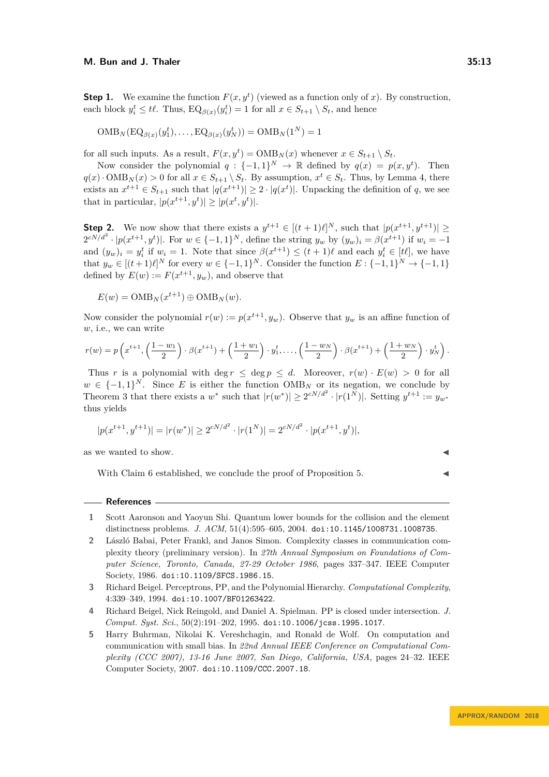**Step 1.** We examine the function  $F(x, y^t)$  (viewed as a function only of *x*). By construction, each block  $y_i^t \leq t\ell$ . Thus,  $EQ_{\beta(x)}(y_i^t) = 1$  for all  $x \in S_{t+1} \setminus S_t$ , and hence

 $\text{OMB}_N(\text{EQ}_{\beta(x)}(y_1^t), \ldots, \text{EQ}_{\beta(x)}(y_N^t)) = \text{OMB}_N(1^N) = 1$ 

for all such inputs. As a result,  $F(x, y^t) = \text{OMB}_N(x)$  whenever  $x \in S_{t+1} \setminus S_t$ .

Now consider the polynomial  $q: \{-1,1\}^N \to \mathbb{R}$  defined by  $q(x) = p(x, y^t)$ . Then  $q(x) \cdot \text{OMB}_N(x) > 0$  for all  $x \in S_{t+1} \setminus S_t$ . By assumption,  $x^t \in S_t$ . Thus, by Lemma [4,](#page-7-2) there exists an  $x^{t+1} \in S_{t+1}$  such that  $|q(x^{t+1})| \geq 2 \cdot |q(x^t)|$ . Unpacking the definition of *q*, we see that in particular,  $|p(x^{t+1}, y^t)| \geq |p(x^t, y^t)|$ .

**Step 2.** We now show that there exists a  $y^{t+1} \in [(t+1)\ell]^N$ , such that  $|p(x^{t+1}, y^{t+1})| \ge$  $2^{cN/d^2} \cdot |p(x^{t+1}, y^t)|$ . For  $w \in \{-1, 1\}^N$ , define the string  $y_w$  by  $(y_w)_i = \beta(x^{t+1})$  if  $w_i = -1$ and  $(y_w)_i = y_i^t$  if  $w_i = 1$ . Note that since  $\beta(x^{t+1}) \leq (t+1)\ell$  and each  $y_i^t \in [t\ell]$ , we have that  $y_w \in [(t+1)\ell]^N$  for every  $w \in \{-1,1\}^N$ . Consider the function  $E: \{-1,1\}^N \to \{-1,1\}$ defined by  $E(w) := F(x^{t+1}, y_w)$ , and observe that

 $E(w) = \text{OMB}_N(x^{t+1}) \oplus \text{OMB}_N(w).$ 

Now consider the polynomial  $r(w) := p(x^{t+1}, y_w)$ . Observe that  $y_w$  is an affine function of *w*, i.e., we can write

$$
r(w) = p\left(x^{t+1}, \left(\frac{1-w_1}{2}\right) \cdot \beta(x^{t+1}) + \left(\frac{1+w_1}{2}\right) \cdot y_1^t, \dots, \left(\frac{1-w_N}{2}\right) \cdot \beta(x^{t+1}) + \left(\frac{1+w_N}{2}\right) \cdot y_N^t\right).
$$

Thus *r* is a polynomial with deg  $r \leq \text{deg } p \leq d$ . Moreover,  $r(w) \cdot E(w) > 0$  for all  $w \in \{-1,1\}^N$ . Since *E* is either the function  $\text{OMB}_N$  or its negation, we conclude by Theorem [3](#page-7-0) that there exists a  $w^*$  such that  $|r(w^*)| \geq 2^{cN/d^2} \cdot |r(1^N)|$ . Setting  $y^{t+1} := y_{w^*}$ thus yields

$$
|p(x^{t+1}, y^{t+1})| = |r(w^*)| \ge 2^{cN/d^2} \cdot |r(1^N)| = 2^{cN/d^2} \cdot |p(x^{t+1}, y^t)|,
$$

as we wanted to show.

With Claim [6](#page-11-0) established, we conclude the proof of Proposition [5.](#page-10-0)

#### **References**

- <span id="page-12-2"></span>**1** Scott Aaronson and Yaoyun Shi. Quantum lower bounds for the collision and the element distinctness problems. *J. ACM*, 51(4):595–605, 2004. [doi:10.1145/1008731.1008735](http://dx.doi.org/10.1145/1008731.1008735).
- <span id="page-12-4"></span>**2** László Babai, Peter Frankl, and Janos Simon. Complexity classes in communication complexity theory (preliminary version). In *27th Annual Symposium on Foundations of Computer Science, Toronto, Canada, 27-29 October 1986*, pages 337–347. IEEE Computer Society, 1986. [doi:10.1109/SFCS.1986.15](http://dx.doi.org/10.1109/SFCS.1986.15).
- <span id="page-12-0"></span>**3** Richard Beigel. Perceptrons, PP, and the Polynomial Hierarchy. *Computational Complexity*, 4:339–349, 1994. [doi:10.1007/BF01263422](http://dx.doi.org/10.1007/BF01263422).
- <span id="page-12-3"></span>**4** Richard Beigel, Nick Reingold, and Daniel A. Spielman. PP is closed under intersection. *J. Comput. Syst. Sci.*, 50(2):191–202, 1995. [doi:10.1006/jcss.1995.1017](http://dx.doi.org/10.1006/jcss.1995.1017).
- <span id="page-12-1"></span>**5** Harry Buhrman, Nikolai K. Vereshchagin, and Ronald de Wolf. On computation and communication with small bias. In *22nd Annual IEEE Conference on Computational Complexity (CCC 2007), 13-16 June 2007, San Diego, California, USA*, pages 24–32. IEEE Computer Society, 2007. [doi:10.1109/CCC.2007.18](http://dx.doi.org/10.1109/CCC.2007.18).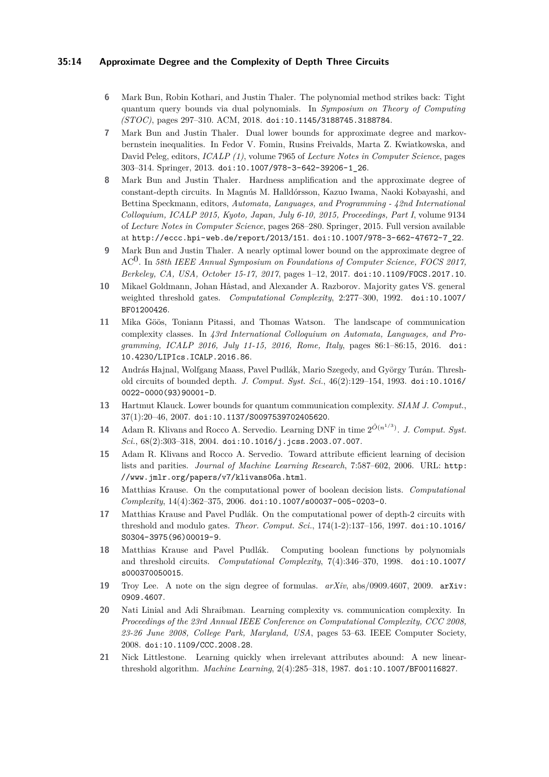### **35:14 Approximate Degree and the Complexity of Depth Three Circuits**

- <span id="page-13-11"></span>**6** Mark Bun, Robin Kothari, and Justin Thaler. The polynomial method strikes back: Tight quantum query bounds via dual polynomials. In *Symposium on Theory of Computing (STOC)*, pages 297–310. ACM, 2018. [doi:10.1145/3188745.3188784](http://dx.doi.org/10.1145/3188745.3188784).
- <span id="page-13-8"></span>**7** Mark Bun and Justin Thaler. Dual lower bounds for approximate degree and markovbernstein inequalities. In Fedor V. Fomin, Rusins Freivalds, Marta Z. Kwiatkowska, and David Peleg, editors, *ICALP (1)*, volume 7965 of *Lecture Notes in Computer Science*, pages 303–314. Springer, 2013. [doi:10.1007/978-3-642-39206-1\\_26](http://dx.doi.org/10.1007/978-3-642-39206-1_26).
- <span id="page-13-2"></span>**8** Mark Bun and Justin Thaler. Hardness amplification and the approximate degree of constant-depth circuits. In Magnús M. Halldórsson, Kazuo Iwama, Naoki Kobayashi, and Bettina Speckmann, editors, *Automata, Languages, and Programming - 42nd International Colloquium, ICALP 2015, Kyoto, Japan, July 6-10, 2015, Proceedings, Part I*, volume 9134 of *Lecture Notes in Computer Science*, pages 268–280. Springer, 2015. Full version available at <http://eccc.hpi-web.de/report/2013/151>. [doi:10.1007/978-3-662-47672-7\\_22](http://dx.doi.org/10.1007/978-3-662-47672-7_22).
- <span id="page-13-10"></span>**9** Mark Bun and Justin Thaler. A nearly optimal lower bound on the approximate degree of AC0. In *58th IEEE Annual Symposium on Foundations of Computer Science, FOCS 2017, Berkeley, CA, USA, October 15-17, 2017*, pages 1–12, 2017. [doi:10.1109/FOCS.2017.10](http://dx.doi.org/10.1109/FOCS.2017.10).
- <span id="page-13-14"></span>**10** Mikael Goldmann, Johan Håstad, and Alexander A. Razborov. Majority gates VS. general weighted threshold gates. *Computational Complexity*, 2:277–300, 1992. [doi:10.1007/](http://dx.doi.org/10.1007/BF01200426) [BF01200426](http://dx.doi.org/10.1007/BF01200426).
- <span id="page-13-6"></span>**11** Mika Göös, Toniann Pitassi, and Thomas Watson. The landscape of communication complexity classes. In *43rd International Colloquium on Automata, Languages, and Programming, ICALP 2016, July 11-15, 2016, Rome, Italy*, pages 86:1–86:15, 2016. [doi:](http://dx.doi.org/10.4230/LIPIcs.ICALP.2016.86) [10.4230/LIPIcs.ICALP.2016.86](http://dx.doi.org/10.4230/LIPIcs.ICALP.2016.86).
- <span id="page-13-15"></span>**12** András Hajnal, Wolfgang Maass, Pavel Pudlák, Mario Szegedy, and György Turán. Threshold circuits of bounded depth. *J. Comput. Syst. Sci.*, 46(2):129–154, 1993. [doi:10.1016/](http://dx.doi.org/10.1016/0022-0000(93)90001-D) [0022-0000\(93\)90001-D](http://dx.doi.org/10.1016/0022-0000(93)90001-D).
- <span id="page-13-0"></span>**13** Hartmut Klauck. Lower bounds for quantum communication complexity. *SIAM J. Comput.*, 37(1):20–46, 2007. [doi:10.1137/S0097539702405620](http://dx.doi.org/10.1137/S0097539702405620).
- <span id="page-13-7"></span>**14** Adam R. Klivans and Rocco A. Servedio. Learning DNF in time  $2^{\tilde{O}(n^{1/3})}$ . *J. Comput. Syst. Sci.*, 68(2):303–318, 2004. [doi:10.1016/j.jcss.2003.07.007](http://dx.doi.org/10.1016/j.jcss.2003.07.007).
- <span id="page-13-5"></span>**15** Adam R. Klivans and Rocco A. Servedio. Toward attribute efficient learning of decision lists and parities. *Journal of Machine Learning Research*, 7:587–602, 2006. URL: [http:](http://www.jmlr.org/papers/v7/klivans06a.html) [//www.jmlr.org/papers/v7/klivans06a.html](http://www.jmlr.org/papers/v7/klivans06a.html).
- <span id="page-13-4"></span>**16** Matthias Krause. On the computational power of boolean decision lists. *Computational Complexity*, 14(4):362–375, 2006. [doi:10.1007/s00037-005-0203-0](http://dx.doi.org/10.1007/s00037-005-0203-0).
- <span id="page-13-3"></span>**17** Matthias Krause and Pavel Pudlák. On the computational power of depth-2 circuits with threshold and modulo gates. *Theor. Comput. Sci.*, 174(1-2):137–156, 1997. [doi:10.1016/](http://dx.doi.org/10.1016/S0304-3975(96)00019-9) [S0304-3975\(96\)00019-9](http://dx.doi.org/10.1016/S0304-3975(96)00019-9).
- <span id="page-13-13"></span>**18** Matthias Krause and Pavel Pudlák. Computing boolean functions by polynomials and threshold circuits. *Computational Complexity*, 7(4):346–370, 1998. [doi:10.1007/](http://dx.doi.org/10.1007/s000370050015) [s000370050015](http://dx.doi.org/10.1007/s000370050015).
- <span id="page-13-9"></span>**19** Troy Lee. A note on the sign degree of formulas. *arXiv*, abs/0909.4607, 2009. [arXiv:](http://arxiv.org/abs/0909.4607) [0909.4607](http://arxiv.org/abs/0909.4607).
- <span id="page-13-1"></span>**20** Nati Linial and Adi Shraibman. Learning complexity vs. communication complexity. In *Proceedings of the 23rd Annual IEEE Conference on Computational Complexity, CCC 2008, 23-26 June 2008, College Park, Maryland, USA*, pages 53–63. IEEE Computer Society, 2008. [doi:10.1109/CCC.2008.28](http://dx.doi.org/10.1109/CCC.2008.28).
- <span id="page-13-12"></span>**21** Nick Littlestone. Learning quickly when irrelevant attributes abound: A new linearthreshold algorithm. *Machine Learning*, 2(4):285–318, 1987. [doi:10.1007/BF00116827](http://dx.doi.org/10.1007/BF00116827).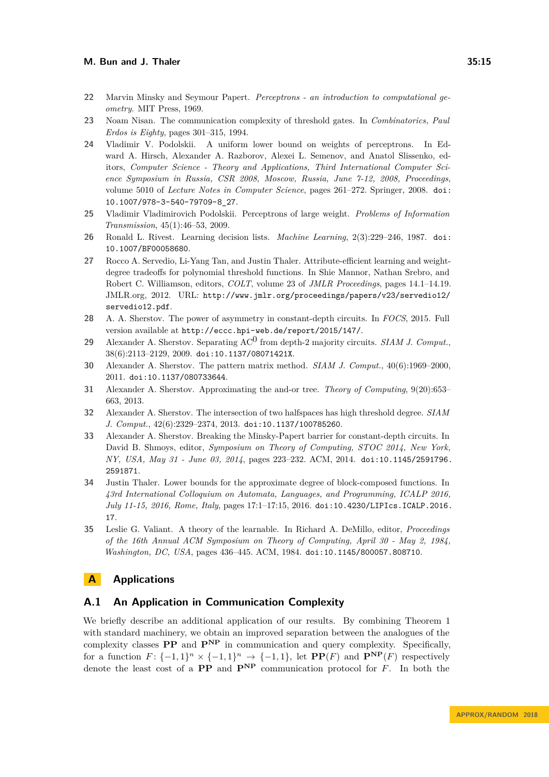- <span id="page-14-9"></span>**22** Marvin Minsky and Seymour Papert. *Perceptrons - an introduction to computational geometry*. MIT Press, 1969.
- <span id="page-14-11"></span>**23** Noam Nisan. The communication complexity of threshold gates. In *Combinatorics, Paul Erdos is Eighty*, pages 301–315, 1994.
- <span id="page-14-1"></span>**24** Vladimir V. Podolskii. A uniform lower bound on weights of perceptrons. In Edward A. Hirsch, Alexander A. Razborov, Alexei L. Semenov, and Anatol Slissenko, editors, *Computer Science - Theory and Applications, Third International Computer Science Symposium in Russia, CSR 2008, Moscow, Russia, June 7-12, 2008, Proceedings*, volume 5010 of *Lecture Notes in Computer Science*, pages 261–272. Springer, 2008. [doi:](http://dx.doi.org/10.1007/978-3-540-79709-8_27) [10.1007/978-3-540-79709-8\\_27](http://dx.doi.org/10.1007/978-3-540-79709-8_27).
- <span id="page-14-10"></span>**25** Vladimir Vladimirovich Podolskii. Perceptrons of large weight. *Problems of Information Transmission*, 45(1):46–53, 2009.
- <span id="page-14-3"></span>**26** Ronald L. Rivest. Learning decision lists. *Machine Learning*, 2(3):229–246, 1987. [doi:](http://dx.doi.org/10.1007/BF00058680) [10.1007/BF00058680](http://dx.doi.org/10.1007/BF00058680).
- <span id="page-14-5"></span>**27** Rocco A. Servedio, Li-Yang Tan, and Justin Thaler. Attribute-efficient learning and weightdegree tradeoffs for polynomial threshold functions. In Shie Mannor, Nathan Srebro, and Robert C. Williamson, editors, *COLT*, volume 23 of *JMLR Proceedings*, pages 14.1–14.19. JMLR.org, 2012. URL: [http://www.jmlr.org/proceedings/papers/v23/servedio12/](http://www.jmlr.org/proceedings/papers/v23/servedio12/servedio12.pdf) [servedio12.pdf](http://www.jmlr.org/proceedings/papers/v23/servedio12/servedio12.pdf).
- <span id="page-14-8"></span>**28** A. A. Sherstov. The power of asymmetry in constant-depth circuits. In *FOCS*, 2015. Full version available at <http://eccc.hpi-web.de/report/2015/147/>.
- <span id="page-14-6"></span>**29** Alexander A. Sherstov. Separating AC0 from depth-2 majority circuits. *SIAM J. Comput.*, 38(6):2113–2129, 2009. [doi:10.1137/08071421X](http://dx.doi.org/10.1137/08071421X).
- <span id="page-14-2"></span>**30** Alexander A. Sherstov. The pattern matrix method. *SIAM J. Comput.*, 40(6):1969–2000, 2011. [doi:10.1137/080733644](http://dx.doi.org/10.1137/080733644).
- <span id="page-14-13"></span>**31** Alexander A. Sherstov. Approximating the and-or tree. *Theory of Computing*, 9(20):653– 663, 2013.
- <span id="page-14-12"></span>**32** Alexander A. Sherstov. The intersection of two halfspaces has high threshold degree. *SIAM J. Comput.*, 42(6):2329–2374, 2013. [doi:10.1137/100785260](http://dx.doi.org/10.1137/100785260).
- <span id="page-14-7"></span>**33** Alexander A. Sherstov. Breaking the Minsky-Papert barrier for constant-depth circuits. In David B. Shmoys, editor, *Symposium on Theory of Computing, STOC 2014, New York, NY, USA, May 31 - June 03, 2014*, pages 223–232. ACM, 2014. [doi:10.1145/2591796.](http://dx.doi.org/10.1145/2591796.2591871) [2591871](http://dx.doi.org/10.1145/2591796.2591871).
- <span id="page-14-14"></span>**34** Justin Thaler. Lower bounds for the approximate degree of block-composed functions. In *43rd International Colloquium on Automata, Languages, and Programming, ICALP 2016, July 11-15, 2016, Rome, Italy*, pages 17:1–17:15, 2016. [doi:10.4230/LIPIcs.ICALP.2016.](http://dx.doi.org/10.4230/LIPIcs.ICALP.2016.17) [17](http://dx.doi.org/10.4230/LIPIcs.ICALP.2016.17).
- <span id="page-14-4"></span>**35** Leslie G. Valiant. A theory of the learnable. In Richard A. DeMillo, editor, *Proceedings of the 16th Annual ACM Symposium on Theory of Computing, April 30 - May 2, 1984, Washington, DC, USA*, pages 436–445. ACM, 1984. [doi:10.1145/800057.808710](http://dx.doi.org/10.1145/800057.808710).

# <span id="page-14-0"></span>**A Applications**

### **A.1 An Application in Communication Complexity**

We briefly describe an additional application of our results. By combining Theorem [1](#page-2-0) with standard machinery, we obtain an improved separation between the analogues of the complexity classes **PP** and **PNP** in communication and query complexity. Specifically, for a function  $F: \{-1,1\}^n \times \{-1,1\}^n \to \{-1,1\}$ , let  $\mathbf{PP}(F)$  and  $\mathbf{P}^{\mathbf{NP}}(F)$  respectively denote the least cost of a **PP** and **PNP** communication protocol for *F*. In both the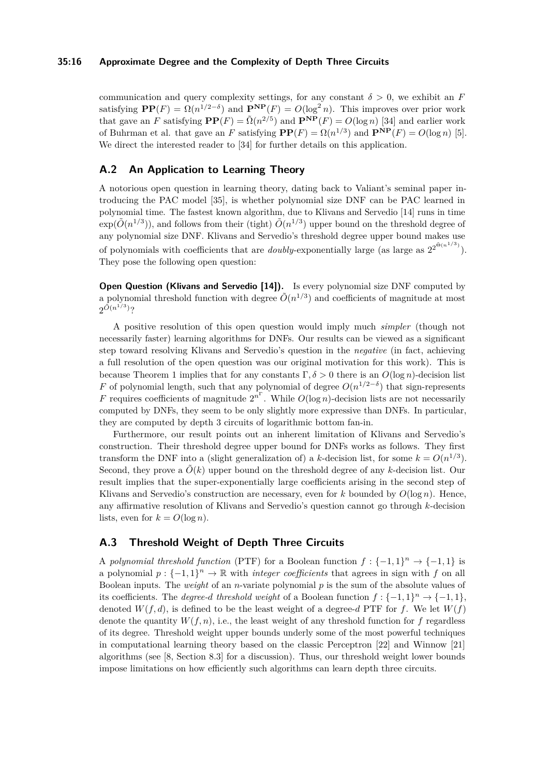#### **35:16 Approximate Degree and the Complexity of Depth Three Circuits**

communication and query complexity settings, for any constant  $\delta > 0$ , we exhibit an *F* satisfying  $\mathbf{PP}(F) = \Omega(n^{1/2-\delta})$  and  $\mathbf{P}^{\mathbf{NP}}(F) = O(\log^2 n)$ . This improves over prior work that gave an *F* satisfying  $\mathbf{PP}(F) = \tilde{\Omega}(n^{2/5})$  and  $\mathbf{P}^{\mathbf{NP}}(F) = O(\log n)$  [\[34\]](#page-14-14) and earlier work of Buhrman et al. that gave an *F* satisfying  $\mathbf{PP}(F) = \Omega(n^{1/3})$  and  $\mathbf{P}^{\mathbf{NP}}(F) = O(\log n)$  [\[5\]](#page-12-1). We direct the interested reader to [\[34\]](#page-14-14) for further details on this application.

# **A.2 An Application to Learning Theory**

A notorious open question in learning theory, dating back to Valiant's seminal paper introducing the PAC model [\[35\]](#page-14-4), is whether polynomial size DNF can be PAC learned in polynomial time. The fastest known algorithm, due to Klivans and Servedio [\[14\]](#page-13-7) runs in time  $\exp(\tilde{O}(n^{1/3}))$ , and follows from their (tight)  $\tilde{O}(n^{1/3})$  upper bound on the threshold degree of any polynomial size DNF. Klivans and Servedio's threshold degree upper bound makes use of polynomials with coefficients that are *doubly*-exponentially large (as large as  $2^{2^{\tilde{\Theta}(n^{1/3})}}$ ). They pose the following open question:

**Open Question (Klivans and Servedio [\[14\]](#page-13-7)).** Is every polynomial size DNF computed by a polynomial threshold function with degree  $\tilde{O}(n^{1/3})$  and coefficients of magnitude at most  $2^{\tilde{O}(n^{1/3})}$ ?

A positive resolution of this open question would imply much *simpler* (though not necessarily faster) learning algorithms for DNFs. Our results can be viewed as a significant step toward resolving Klivans and Servedio's question in the *negative* (in fact, achieving a full resolution of the open question was our original motivation for this work). This is because Theorem [1](#page-2-0) implies that for any constants Γ*, δ >* 0 there is an *O*(log *n*)-decision list *F* of polynomial length, such that any polynomial of degree  $O(n^{1/2-\delta})$  that sign-represents *F* requires coefficients of magnitude  $2^{n^{\Gamma}}$ . While  $O(\log n)$ -decision lists are not necessarily computed by DNFs, they seem to be only slightly more expressive than DNFs. In particular, they are computed by depth 3 circuits of logarithmic bottom fan-in.

Furthermore, our result points out an inherent limitation of Klivans and Servedio's construction. Their threshold degree upper bound for DNFs works as follows. They first transform the DNF into a (slight generalization of) a *k*-decision list, for some  $k = O(n^{1/3})$ . Second, they prove a  $\tilde{O}(k)$  upper bound on the threshold degree of any *k*-decision list. Our result implies that the super-exponentially large coefficients arising in the second step of Klivans and Servedio's construction are necessary, even for  $k$  bounded by  $O(\log n)$ . Hence, any affirmative resolution of Klivans and Servedio's question cannot go through *k*-decision lists, even for  $k = O(\log n)$ .

# <span id="page-15-0"></span>**A.3 Threshold Weight of Depth Three Circuits**

A *polynomial threshold function* (PTF) for a Boolean function  $f: \{-1,1\}^n \to \{-1,1\}$  is a polynomial  $p: \{-1,1\}^n \to \mathbb{R}$  with *integer coefficients* that agrees in sign with *f* on all Boolean inputs. The *weight* of an *n*-variate polynomial *p* is the sum of the absolute values of its coefficients. The *degree-d* threshold weight of a Boolean function  $f: \{-1,1\}^n \to \{-1,1\}$ , denoted  $W(f, d)$ , is defined to be the least weight of a degree-*d* PTF for *f*. We let  $W(f)$ denote the quantity  $W(f, n)$ , i.e., the least weight of any threshold function for f regardless of its degree. Threshold weight upper bounds underly some of the most powerful techniques in computational learning theory based on the classic Perceptron [\[22\]](#page-14-9) and Winnow [\[21\]](#page-13-12) algorithms (see [\[8,](#page-13-2) Section 8.3] for a discussion). Thus, our threshold weight lower bounds impose limitations on how efficiently such algorithms can learn depth three circuits.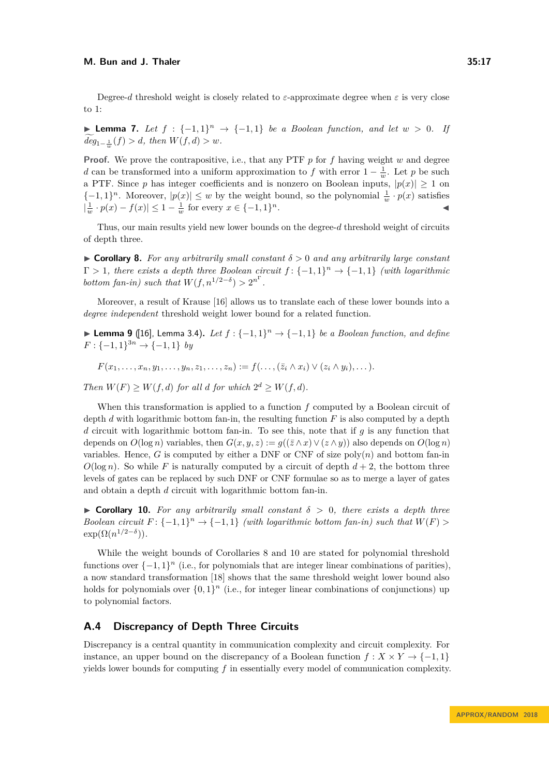Degree-*d* threshold weight is closely related to  $\varepsilon$ -approximate degree when  $\varepsilon$  is very close to 1:

**► Lemma 7.** Let  $f : \{-1,1\}^n \rightarrow \{-1,1\}$  be a Boolean function, and let  $w > 0$ . If  $deg_{1-\frac{1}{w}}(f) > d$ , then  $W(f, d) > w$ .

**Proof.** We prove the contrapositive, i.e., that any PTF *p* for *f* having weight *w* and degree *d* can be transformed into a uniform approximation to *f* with error  $1 - \frac{1}{w}$ . Let *p* be such a PTF. Since *p* has integer coefficients and is nonzero on Boolean inputs,  $|p(x)| \geq 1$  on  ${-1, 1}^n$ . Moreover,  $|p(x)| \leq w$  by the weight bound, so the polynomial  $\frac{1}{w} \cdot p(x)$  satisfies  $|\frac{1}{w} \cdot p(x) - f(x)| \leq 1 - \frac{1}{w}$  for every  $x \in \{-1, 1\}$  $n$ .

Thus, our main results yield new lower bounds on the degree-*d* threshold weight of circuits of depth three.

<span id="page-16-1"></span> $\triangleright$  **Corollary 8.** For any arbitrarily small constant  $\delta > 0$  and any arbitrarily large constant  $\Gamma > 1$ , there exists a depth three Boolean circuit  $f: \{-1,1\}^n \to \{-1,1\}$  *(with logarithmic bottom fan-in) such that*  $W(f, n^{1/2-\delta}) > 2^{n^{\Gamma}}$ .

Moreover, a result of Krause [\[16\]](#page-13-4) allows us to translate each of these lower bounds into a *degree independent* threshold weight lower bound for a related function.

**► Lemma 9** ([\[16\]](#page-13-4), Lemma 3.4). Let  $f : \{-1,1\}^n \rightarrow \{-1,1\}$  be a Boolean function, and define  $F: \{-1, 1\}^{3n} \to \{-1, 1\}$  *by* 

 $F(x_1,...,x_n,y_1,...,y_n,z_1,...,z_n) := f(...,(\bar{z}_i \wedge x_i) \vee (z_i \wedge y_i),...)$ 

*Then*  $W(F) \geq W(f, d)$  *for all d for which*  $2^d \geq W(f, d)$ *.* 

When this transformation is applied to a function *f* computed by a Boolean circuit of depth *d* with logarithmic bottom fan-in, the resulting function *F* is also computed by a depth *d* circuit with logarithmic bottom fan-in. To see this, note that if *g* is any function that depends on  $O(\log n)$  variables, then  $G(x, y, z) := g((\bar{z} \wedge x) \vee (z \wedge y))$  also depends on  $O(\log n)$ variables. Hence, *G* is computed by either a DNF or CNF of size  $poly(n)$  and bottom fan-in  $O(\log n)$ . So while *F* is naturally computed by a circuit of depth  $d+2$ , the bottom three levels of gates can be replaced by such DNF or CNF formulae so as to merge a layer of gates and obtain a depth *d* circuit with logarithmic bottom fan-in.

<span id="page-16-2"></span> $\triangleright$  **Corollary 10.** For any arbitrarily small constant  $\delta > 0$ , there exists a depth three *Boolean circuit*  $F: \{-1, 1\}^n \to \{-1, 1\}$  *(with logarithmic bottom fan-in) such that*  $W(F)$  $\exp(\Omega(n^{1/2-\delta}))$ .

While the weight bounds of Corollaries [8](#page-16-1) and [10](#page-16-2) are stated for polynomial threshold functions over  $\{-1, 1\}^n$  (i.e., for polynomials that are integer linear combinations of parities), a now standard transformation [\[18\]](#page-13-13) shows that the same threshold weight lower bound also holds for polynomials over  $\{0,1\}^n$  (i.e., for integer linear combinations of conjunctions) up to polynomial factors.

# <span id="page-16-0"></span>**A.4 Discrepancy of Depth Three Circuits**

Discrepancy is a central quantity in communication complexity and circuit complexity. For instance, an upper bound on the discrepancy of a Boolean function  $f : X \times Y \to \{-1, 1\}$ yields lower bounds for computing *f* in essentially every model of communication complexity.